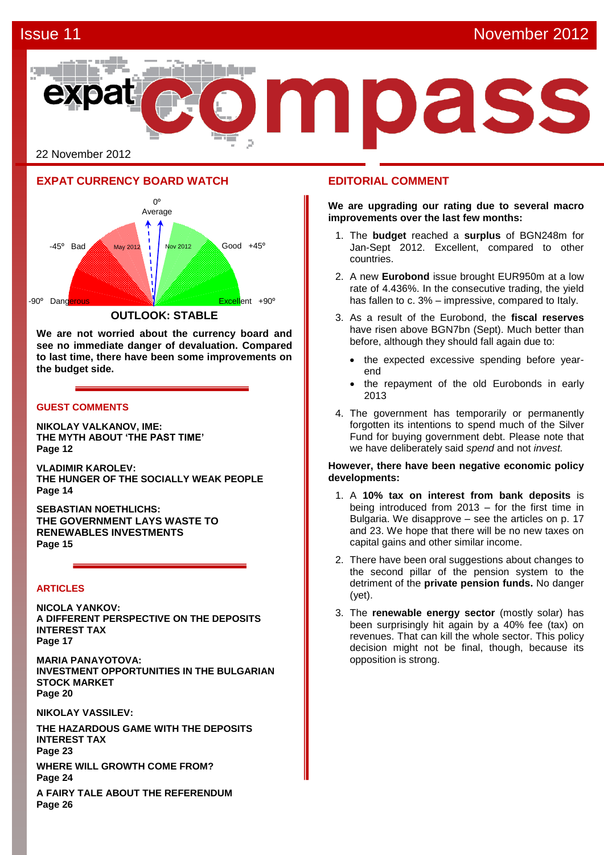

# **EXPAT CURRENCY BOARD WATCH**



**We are not worried about the currency board and see no immediate danger of devaluation. Compared to last time, there have been some improvements on the budget side.** 

# **GUEST COMMENTS**

**NIKOLAY VALKANOV, IME: THE MYTH ABOUT 'THE PAST TIME' Page 12**

**VLADIMIR KAROLEV: THE HUNGER OF THE SOCIALLY WEAK PEOPLE Page 14**

**SEBASTIAN NOETHLICHS: THE GOVERNMENT LAYS WASTE TO RENEWABLES INVESTMENTS Page 15**

### **ARTICLES**

**NICOLA YANKOV: A DIFFERENT PERSPECTIVE ON THE DEPOSITS INTEREST TAX Page 17**

**MARIA PANAYOTOVA: INVESTMENT OPPORTUNITIES IN THE BULGARIAN STOCK MARKET Page 20**

**NIKOLAY VASSILEV:**

**THE HAZARDOUS GAME WITH THE DEPOSITS INTEREST TAX Page 23 WHERE WILL GROWTH COME FROM? Page 24**

**A FAIRY TALE ABOUT THE REFERENDUM Page 26**

# **EDITORIAL COMMENT**

**We are upgrading our rating due to several macro improvements over the last few months:** 

- 1. The **budget** reached a **surplus** of BGN248m for Jan-Sept 2012. Excellent, compared to other countries.
- 2. A new **Eurobond** issue brought EUR950m at a low rate of 4.436%. In the consecutive trading, the yield has fallen to c. 3% – impressive, compared to Italy.
- 3. As a result of the Eurobond, the **fiscal reserves** have risen above BGN7bn (Sept). Much better than before, although they should fall again due to:
	- the expected excessive spending before yearend
	- the repayment of the old Eurobonds in early 2013
- 4. The government has temporarily or permanently forgotten its intentions to spend much of the Silver Fund for buying government debt. Please note that we have deliberately said *spend* and not *invest.*

### **However, there have been negative economic policy developments:**

- 1. A **10% tax on interest from bank deposits** is being introduced from 2013 – for the first time in Bulgaria. We disapprove – see the articles on p. 17 and 23. We hope that there will be no new taxes on capital gains and other similar income.
- 2. There have been oral suggestions about changes to the second pillar of the pension system to the detriment of the **private pension funds.** No danger (yet).
- 3. The **renewable energy sector** (mostly solar) has been surprisingly hit again by a 40% fee (tax) on revenues. That can kill the whole sector. This policy decision might not be final, though, because its opposition is strong.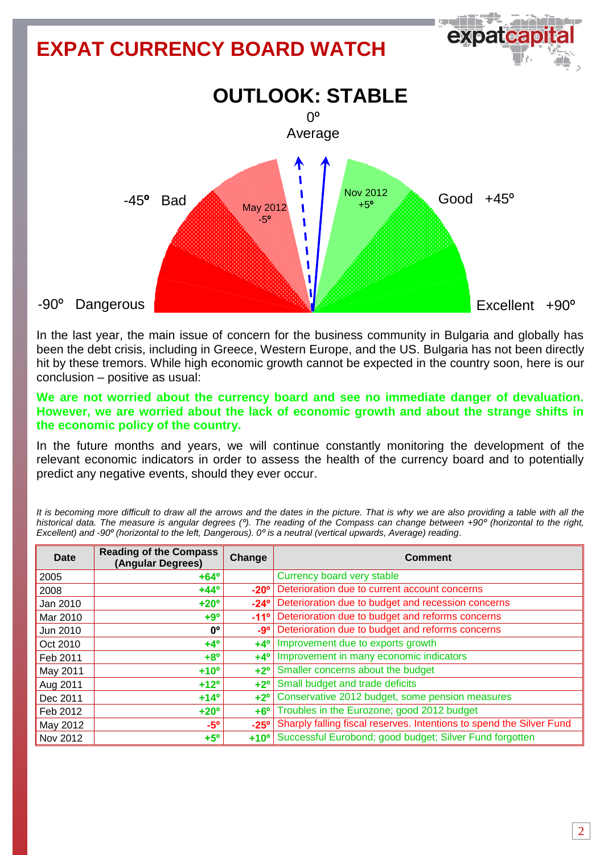

In the last year, the main issue of concern for the business community in Bulgaria and globally has been the debt crisis, including in Greece, Western Europe, and the US. Bulgaria has not been directly hit by these tremors. While high economic growth cannot be expected in the country soon, here is our conclusion – positive as usual:

# **We are not worried about the currency board and see no immediate danger of devaluation. However, we are worried about the lack of economic growth and about the strange shifts in the economic policy of the country.**

In the future months and years, we will continue constantly monitoring the development of the relevant economic indicators in order to assess the health of the currency board and to potentially predict any negative events, should they ever occur.

*It is becoming more difficult to draw all the arrows and the dates in the picture. That is why we are also providing a table with all the historical data. The measure is angular degrees (º). The reading of the Compass can change between +90º (horizontal to the right, Excellent) and -90º (horizontal to the left, Dangerous). 0º is a neutral (vertical upwards, Average) reading*.

| Date     | <b>Reading of the Compass</b><br>(Angular Degrees) | Change        | <b>Comment</b>                                                       |  |
|----------|----------------------------------------------------|---------------|----------------------------------------------------------------------|--|
| 2005     | $+64^{\circ}$                                      |               | Currency board very stable                                           |  |
| 2008     | $+44^{\circ}$                                      | $-20^\circ$   | Deterioration due to current account concerns                        |  |
| Jan 2010 | $+20^{\circ}$                                      | $-24^\circ$   | Deterioration due to budget and recession concerns                   |  |
| Mar 2010 | $+9°$                                              | $-11^{\circ}$ | Deterioration due to budget and reforms concerns                     |  |
| Jun 2010 | 0 <sup>o</sup>                                     | $-9°$         | Deterioration due to budget and reforms concerns                     |  |
| Oct 2010 | $+4^{\circ}$                                       | $+4^\circ$    | Improvement due to exports growth                                    |  |
| Feb 2011 | $+8^\circ$                                         | $+4^\circ$    | Improvement in many economic indicators                              |  |
| May 2011 | $+10o$                                             | $+2^{\circ}$  | Smaller concerns about the budget                                    |  |
| Aug 2011 | $+12^{\circ}$                                      | $+2^{\circ}$  | Small budget and trade deficits                                      |  |
| Dec 2011 | $+14^{\circ}$                                      | $+2^{\circ}$  | Conservative 2012 budget, some pension measures                      |  |
| Feb 2012 | $+20^{\circ}$                                      | $+6^{\circ}$  | Troubles in the Eurozone; good 2012 budget                           |  |
| May 2012 | $-5^\circ$                                         | $-25^\circ$   | Sharply falling fiscal reserves. Intentions to spend the Silver Fund |  |
| Nov 2012 | $+5^\circ$                                         | $+10^{\circ}$ | Successful Eurobond; good budget; Silver Fund forgotten              |  |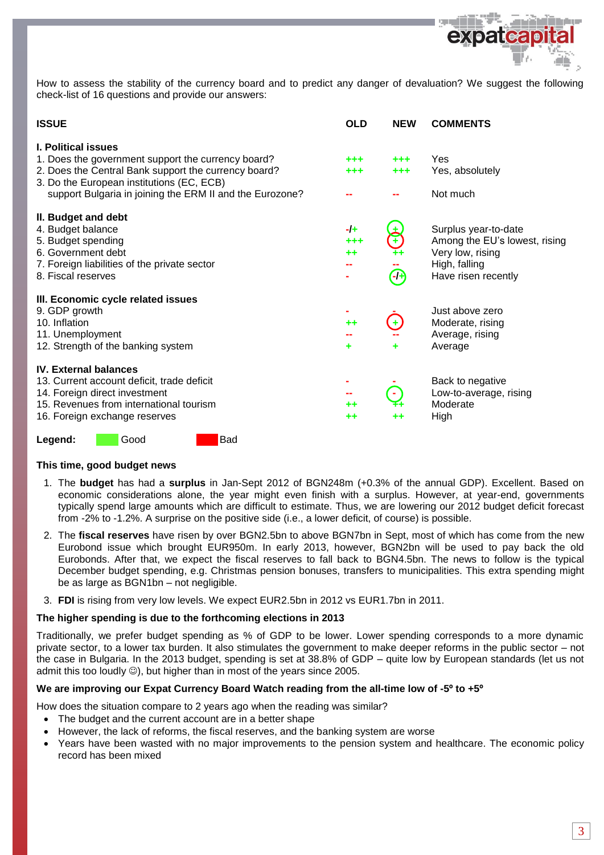

How to assess the stability of the currency board and to predict any danger of devaluation? We suggest the following check-list of 16 questions and provide our answers:

| <b>ISSUE</b>                                                                                                                                                                                                                                      | <b>OLD</b>                      | <b>NEW</b>     | <b>COMMENTS</b>                                                                                                   |
|---------------------------------------------------------------------------------------------------------------------------------------------------------------------------------------------------------------------------------------------------|---------------------------------|----------------|-------------------------------------------------------------------------------------------------------------------|
| <b>I. Political issues</b><br>1. Does the government support the currency board?<br>2. Does the Central Bank support the currency board?<br>3. Do the European institutions (EC, ECB)<br>support Bulgaria in joining the ERM II and the Eurozone? | ***<br>+++                      | $+ + +$<br>+++ | Yes<br>Yes, absolutely<br>Not much                                                                                |
| II. Budget and debt<br>4. Budget balance<br>5. Budget spending<br>6. Government debt<br>7. Foreign liabilities of the private sector<br>8. Fiscal reserves                                                                                        | $-I +$<br>+++<br>$^{\tiny{++}}$ | $\Theta$       | Surplus year-to-date<br>Among the EU's lowest, rising<br>Very low, rising<br>High, falling<br>Have risen recently |
| III. Economic cycle related issues<br>9. GDP growth<br>10. Inflation<br>11. Unemployment<br>12. Strength of the banking system                                                                                                                    | $+ +$<br>٠                      |                | Just above zero<br>Moderate, rising<br>Average, rising<br>Average                                                 |
| <b>IV. External balances</b><br>13. Current account deficit, trade deficit<br>14. Foreign direct investment<br>15. Revenues from international tourism<br>16. Foreign exchange reserves                                                           | ++<br>$^{\tiny{++}}$            | ++             | Back to negative<br>Low-to-average, rising<br>Moderate<br>High                                                    |
| Bad<br>Good<br>Legend:                                                                                                                                                                                                                            |                                 |                |                                                                                                                   |

### **This time, good budget news**

- 1. The **budget** has had a **surplus** in Jan-Sept 2012 of BGN248m (+0.3% of the annual GDP). Excellent. Based on economic considerations alone, the year might even finish with a surplus. However, at year-end, governments typically spend large amounts which are difficult to estimate. Thus, we are lowering our 2012 budget deficit forecast from -2% to -1.2%. A surprise on the positive side (i.e., a lower deficit, of course) is possible.
- 2. The **fiscal reserves** have risen by over BGN2.5bn to above BGN7bn in Sept, most of which has come from the new Eurobond issue which brought EUR950m. In early 2013, however, BGN2bn will be used to pay back the old Eurobonds. After that, we expect the fiscal reserves to fall back to BGN4.5bn. The news to follow is the typical December budget spending, e.g. Christmas pension bonuses, transfers to municipalities. This extra spending might be as large as BGN1bn – not negligible.
- 3. **FDI** is rising from very low levels. We expect EUR2.5bn in 2012 vs EUR1.7bn in 2011.

### **The higher spending is due to the forthcoming elections in 2013**

Traditionally, we prefer budget spending as % of GDP to be lower. Lower spending corresponds to a more dynamic private sector, to a lower tax burden. It also stimulates the government to make deeper reforms in the public sector – not the case in Bulgaria. In the 2013 budget, spending is set at 38.8% of GDP – quite low by European standards (let us not admit this too loudly  $\circledcirc$ ), but higher than in most of the years since 2005.

### **We are improving our Expat Currency Board Watch reading from the all-time low of -5º to +5º**

How does the situation compare to 2 years ago when the reading was similar?

- The budget and the current account are in a better shape
- However, the lack of reforms, the fiscal reserves, and the banking system are worse
- Years have been wasted with no major improvements to the pension system and healthcare. The economic policy record has been mixed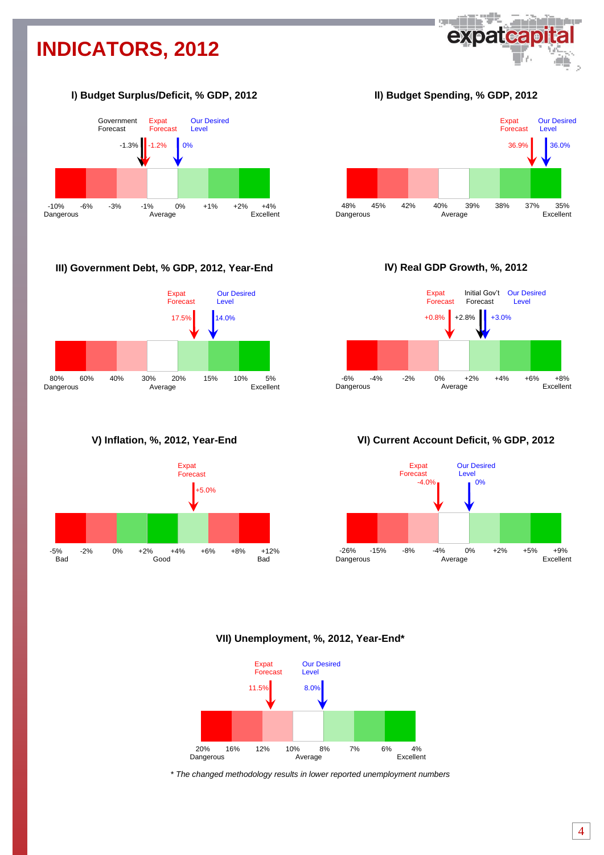# **INDICATORS, 2012**



# **І) Budget Surplus/Deficit, % GDP, 2012**



# **III) Government Debt, % GDP, 2012, Year-End**



**V) Inflation, %, 2012, Year-End**



**ІІ) Budget Spending, % GDP, 2012**



**ІV) Real GDP Growth, %, 2012**



# **VІ) Current Account Deficit, % GDP, 2012**



# **VII) Unemployment, %, 2012, Year-End\***



*\* The changed methodology results in lower reported unemployment numbers*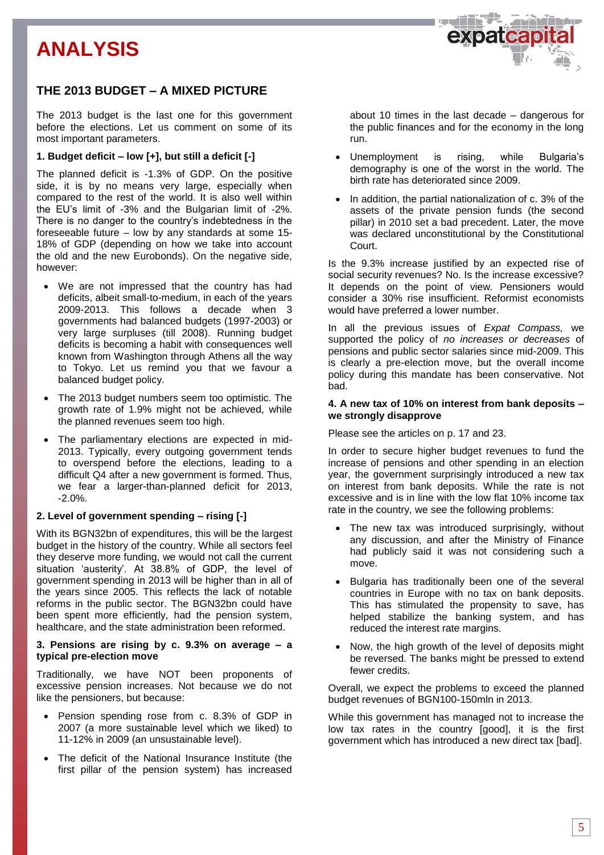# **ANALYSIS**

# **THE 2013 BUDGET – A MIXED PICTURE**

The 2013 budget is the last one for this government before the elections. Let us comment on some of its most important parameters.

# **1. Budget deficit – low [+], but still a deficit [-]**

The planned deficit is -1.3% of GDP. On the positive side, it is by no means very large, especially when compared to the rest of the world. It is also well within the EU's limit of -3% and the Bulgarian limit of -2%. There is no danger to the country's indebtedness in the foreseeable future – low by any standards at some 15- 18% of GDP (depending on how we take into account the old and the new Eurobonds). On the negative side, however:

- We are not impressed that the country has had deficits, albeit small-to-medium, in each of the years 2009-2013. This follows a decade when 3 governments had balanced budgets (1997-2003) or very large surpluses (till 2008). Running budget deficits is becoming a habit with consequences well known from Washington through Athens all the way to Tokyo. Let us remind you that we favour a balanced budget policy.
- The 2013 budget numbers seem too optimistic. The growth rate of 1.9% might not be achieved, while the planned revenues seem too high.
- The parliamentary elections are expected in mid-2013. Typically, every outgoing government tends to overspend before the elections, leading to a difficult Q4 after a new government is formed. Thus, we fear a larger-than-planned deficit for 2013, -2.0%.

# **2. Level of government spending – rising [-]**

With its BGN32bn of expenditures, this will be the largest budget in the history of the country. While all sectors feel they deserve more funding, we would not call the current situation 'austerity'. At 38.8% of GDP, the level of government spending in 2013 will be higher than in all of the years since 2005. This reflects the lack of notable reforms in the public sector. The BGN32bn could have been spent more efficiently, had the pension system, healthcare, and the state administration been reformed.

#### **3. Pensions are rising by c. 9.3% on average – a typical pre-election move**

Traditionally, we have NOT been proponents of excessive pension increases. Not because we do not like the pensioners, but because:

- Pension spending rose from c. 8.3% of GDP in 2007 (a more sustainable level which we liked) to 11-12% in 2009 (an unsustainable level).
- The deficit of the National Insurance Institute (the first pillar of the pension system) has increased

about 10 times in the last decade – dangerous for the public finances and for the economy in the long run.

**expateal** 

- Unemployment is rising, while Bulgaria's demography is one of the worst in the world. The birth rate has deteriorated since 2009.
- In addition, the partial nationalization of c. 3% of the assets of the private pension funds (the second pillar) in 2010 set a bad precedent. Later, the move was declared unconstitutional by the Constitutional Court.

Is the 9.3% increase justified by an expected rise of social security revenues? No. Is the increase excessive? It depends on the point of view. Pensioners would consider a 30% rise insufficient. Reformist economists would have preferred a lower number.

In all the previous issues of *Expat Compass,* we supported the policy of *no increases or decreases* of pensions and public sector salaries since mid-2009. This is clearly a pre-election move, but the overall income policy during this mandate has been conservative. Not bad.

### **4. A new tax of 10% on interest from bank deposits – we strongly disapprove**

Please see the articles on p. 17 and 23.

In order to secure higher budget revenues to fund the increase of pensions and other spending in an election year, the government surprisingly introduced a new tax on interest from bank deposits. While the rate is not excessive and is in line with the low flat 10% income tax rate in the country, we see the following problems:

- The new tax was introduced surprisingly, without any discussion, and after the Ministry of Finance had publicly said it was not considering such a move.
- Bulgaria has traditionally been one of the several countries in Europe with no tax on bank deposits. This has stimulated the propensity to save, has helped stabilize the banking system, and has reduced the interest rate margins.
- Now, the high growth of the level of deposits might be reversed. The banks might be pressed to extend fewer credits.

Overall, we expect the problems to exceed the planned budget revenues of BGN100-150mln in 2013.

While this government has managed not to increase the low tax rates in the country [good], it is the first government which has introduced a new direct tax [bad].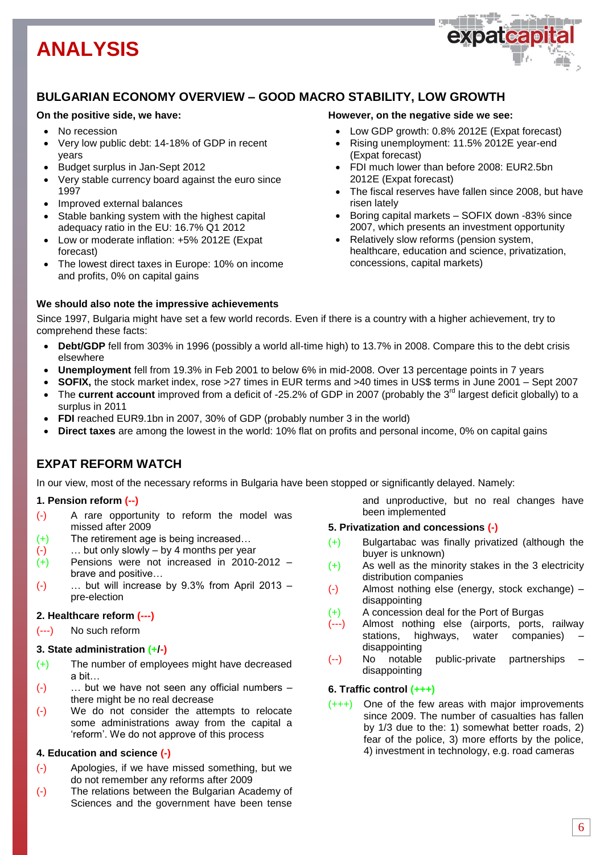# **ANALYSIS**



# **BULGARIAN ECONOMY OVERVIEW – GOOD MACRO STABILITY, LOW GROWTH**

# **On the positive side, we have:**

- No recession
- Very low public debt: 14-18% of GDP in recent years
- Budget surplus in Jan-Sept 2012
- Very stable currency board against the euro since 1997
- Improved external balances
- Stable banking system with the highest capital adequacy ratio in the EU: 16.7% Q1 2012
- Low or moderate inflation: +5% 2012E (Expat forecast)
- The lowest direct taxes in Europe: 10% on income and profits, 0% on capital gains

# **We should also note the impressive achievements**

### **However, on the negative side we see:**

- Low GDP growth: 0.8% 2012E (Expat forecast)
- Rising unemployment: 11.5% 2012E year-end (Expat forecast)
- FDI much lower than before 2008: EUR2.5bn 2012E (Expat forecast)
- The fiscal reserves have fallen since 2008, but have risen lately
- Boring capital markets SOFIX down -83% since 2007, which presents an investment opportunity
- Relatively slow reforms (pension system, healthcare, education and science, privatization, concessions, capital markets)

Since 1997, Bulgaria might have set a few world records. Even if there is a country with a higher achievement, try to comprehend these facts:

- **Debt/GDP** fell from 303% in 1996 (possibly a world all-time high) to 13.7% in 2008. Compare this to the debt crisis elsewhere
- **Unemployment** fell from 19.3% in Feb 2001 to below 6% in mid-2008. Over 13 percentage points in 7 years
- **SOFIX,** the stock market index, rose >27 times in EUR terms and >40 times in US\$ terms in June 2001 Sept 2007
- The **current account** improved from a deficit of -25.2% of GDP in 2007 (probably the 3<sup>rd</sup> largest deficit globally) to a surplus in 2011
- **FDI** reached EUR9.1bn in 2007, 30% of GDP (probably number 3 in the world)
- **Direct taxes** are among the lowest in the world: 10% flat on profits and personal income, 0% on capital gains

# **EXPAT REFORM WATCH**

In our view, most of the necessary reforms in Bulgaria have been stopped or significantly delayed. Namely:

# **1. Pension reform (--)**

- (-) A rare opportunity to reform the model was missed after 2009
- (+) The retirement age is being increased…
- (-) … but only slowly by 4 months per year
- (+) Pensions were not increased in 2010-2012 brave and positive…
- $(-)$  ... but will increase by 9.3% from April 2013 pre-election

# **2. Healthcare reform (---)**

(---) No such reform

# **3. State administration (+/-)**

- (+) The number of employees might have decreased a bit…
- (-) … but we have not seen any official numbers there might be no real decrease
- (-) We do not consider the attempts to relocate some administrations away from the capital a 'reform'. We do not approve of this process

# **4. Education and science (-)**

- (-) Apologies, if we have missed something, but we do not remember any reforms after 2009
- (-) The relations between the Bulgarian Academy of Sciences and the government have been tense

and unproductive, but no real changes have been implemented

### **5. Privatization and concessions (-)**

- (+) Bulgartabac was finally privatized (although the buyer is unknown)
- (+) As well as the minority stakes in the 3 electricity distribution companies
- (-) Almost nothing else (energy, stock exchange) disappointing
- (+) A concession deal for the Port of Burgas
- (---) Almost nothing else (airports, ports, railway stations, highways, water companies) – disappointing
- (--) No notable public-private partnerships disappointing

# **6. Traffic control (+++)**

(+++) One of the few areas with major improvements since 2009. The number of casualties has fallen by 1/3 due to the: 1) somewhat better roads, 2) fear of the police, 3) more efforts by the police, 4) investment in technology, e.g. road cameras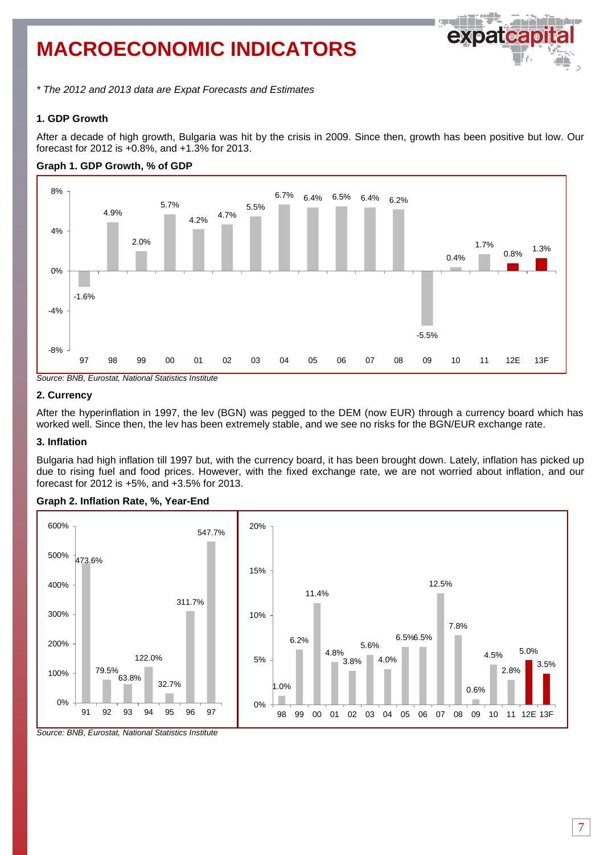# **MACROECONOMIC INDICATORS**



*\* The 2012 and 2013 data are Expat Forecasts and Estimates*

# **1. GDP Growth**

After a decade of high growth, Bulgaria was hit by the crisis in 2009. Since then, growth has been positive but low. Our forecast for 2012 is +0.8%, and +1.3% for 2013.





*Source: BNB, Eurostat, National Statistics Institute*

# **2. Currency**

After the hyperinflation in 1997, the lev (BGN) was pegged to the DEM (now EUR) through a currency board which has worked well. Since then, the lev has been extremely stable, and we see no risks for the BGN/EUR exchange rate.

### **3. Inflation**

Bulgaria had high inflation till 1997 but, with the currency board, it has been brought down. Lately, inflation has picked up due to rising fuel and food prices. However, with the fixed exchange rate, we are not worried about inflation, and our forecast for 2012 is +5%, and +3.5% for 2013.





*Source: BNB, Eurostat, National Statistics Institute*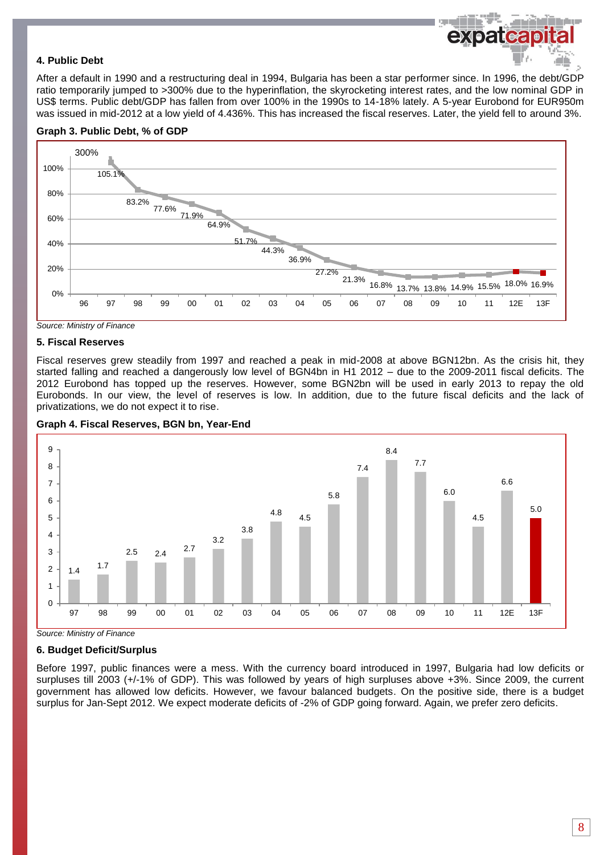# **4. Public Debt**

After a default in 1990 and a restructuring deal in 1994, Bulgaria has been a star performer since. In 1996, the debt/GDP ratio temporarily jumped to >300% due to the hyperinflation, the skyrocketing interest rates, and the low nominal GDP in US\$ terms. Public debt/GDP has fallen from over 100% in the 1990s to 14-18% lately. A 5-year Eurobond for EUR950m was issued in mid-2012 at a low yield of 4.436%. This has increased the fiscal reserves. Later, the yield fell to around 3%.





*Source: Ministry of Finance*

#### **5. Fiscal Reserves**

Fiscal reserves grew steadily from 1997 and reached a peak in mid-2008 at above BGN12bn. As the crisis hit, they started falling and reached a dangerously low level of BGN4bn in H1 2012 – due to the 2009-2011 fiscal deficits. The 2012 Eurobond has topped up the reserves. However, some BGN2bn will be used in early 2013 to repay the old Eurobonds. In our view, the level of reserves is low. In addition, due to the future fiscal deficits and the lack of privatizations, we do not expect it to rise.



#### **Graph 4. Fiscal Reserves, BGN bn, Year-End**

*Source: Ministry of Finance*

### **6. Budget Deficit/Surplus**

Before 1997, public finances were a mess. With the currency board introduced in 1997, Bulgaria had low deficits or surpluses till 2003 (+/-1% of GDP). This was followed by years of high surpluses above +3%. Since 2009, the current government has allowed low deficits. However, we favour balanced budgets. On the positive side, there is a budget surplus for Jan-Sept 2012. We expect moderate deficits of -2% of GDP going forward. Again, we prefer zero deficits.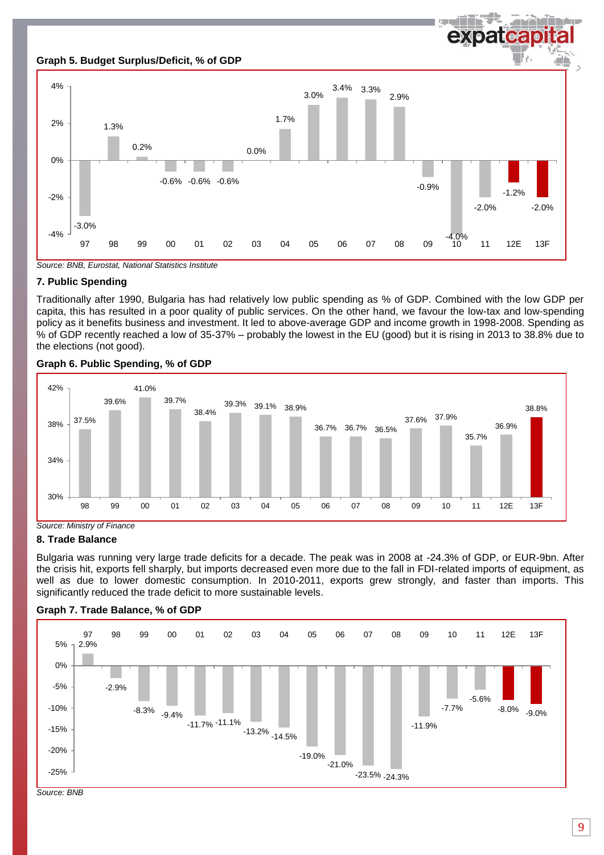

*Source: BNB, Eurostat, National Statistics Institute*

# **7. Public Spending**

Traditionally after 1990, Bulgaria has had relatively low public spending as % of GDP. Combined with the low GDP per capita, this has resulted in a poor quality of public services. On the other hand, we favour the low-tax and low-spending policy as it benefits business and investment. It led to above-average GDP and income growth in 1998-2008. Spending as % of GDP recently reached a low of 35-37% – probably the lowest in the EU (good) but it is rising in 2013 to 38.8% due to the elections (not good).



# **Graph 6. Public Spending, % of GDP**

*Source: Ministry of Finance*

### **8. Trade Balance**

Bulgaria was running very large trade deficits for a decade. The peak was in 2008 at -24.3% of GDP, or EUR-9bn. After the crisis hit, exports fell sharply, but imports decreased even more due to the fall in FDI-related imports of equipment, as well as due to lower domestic consumption. In 2010-2011, exports grew strongly, and faster than imports. This significantly reduced the trade deficit to more sustainable levels.



# **Graph 7. Trade Balance, % of GDP**

*Source: BNB*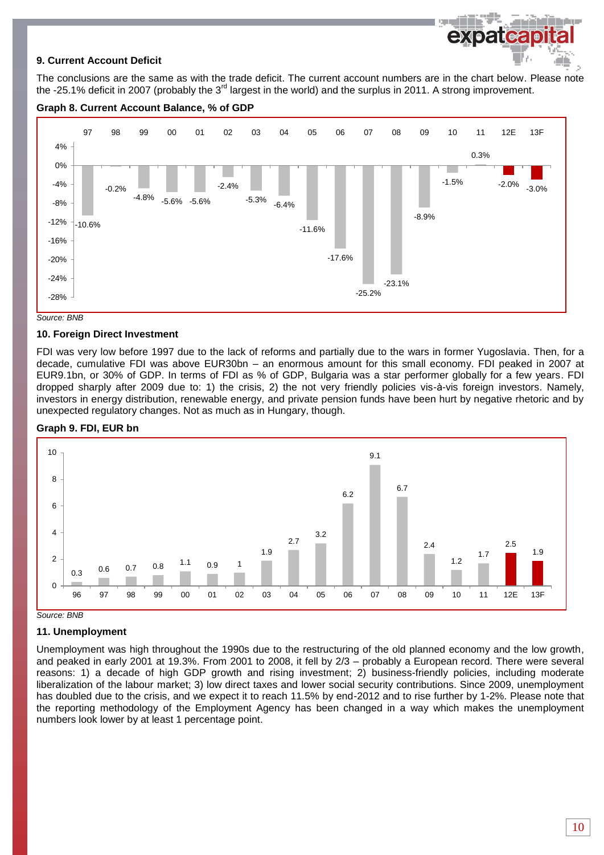# **9. Current Account Deficit**

The conclusions are the same as with the trade deficit. The current account numbers are in the chart below. Please note the -25.1% deficit in 2007 (probably the  $3^{rd}$  largest in the world) and the surplus in 2011. A strong improvement.

**County** 



# **Graph 8. Current Account Balance, % of GDP**



# **10. Foreign Direct Investment**

FDI was very low before 1997 due to the lack of reforms and partially due to the wars in former Yugoslavia. Then, for a decade, cumulative FDI was above EUR30bn – an enormous amount for this small economy. FDI peaked in 2007 at EUR9.1bn, or 30% of GDP. In terms of FDI as % of GDP, Bulgaria was a star performer globally for a few years. FDI dropped sharply after 2009 due to: 1) the crisis, 2) the not very friendly policies vis-à-vis foreign investors. Namely, investors in energy distribution, renewable energy, and private pension funds have been hurt by negative rhetoric and by unexpected regulatory changes. Not as much as in Hungary, though.

### **Graph 9. FDI, EUR bn**



*Source: BNB*

# **11. Unemployment**

Unemployment was high throughout the 1990s due to the restructuring of the old planned economy and the low growth, and peaked in early 2001 at 19.3%. From 2001 to 2008, it fell by 2/3 – probably a European record. There were several reasons: 1) a decade of high GDP growth and rising investment; 2) business-friendly policies, including moderate liberalization of the labour market; 3) low direct taxes and lower social security contributions. Since 2009, unemployment has doubled due to the crisis, and we expect it to reach 11.5% by end-2012 and to rise further by 1-2%. Please note that the reporting methodology of the Employment Agency has been changed in a way which makes the unemployment numbers look lower by at least 1 percentage point.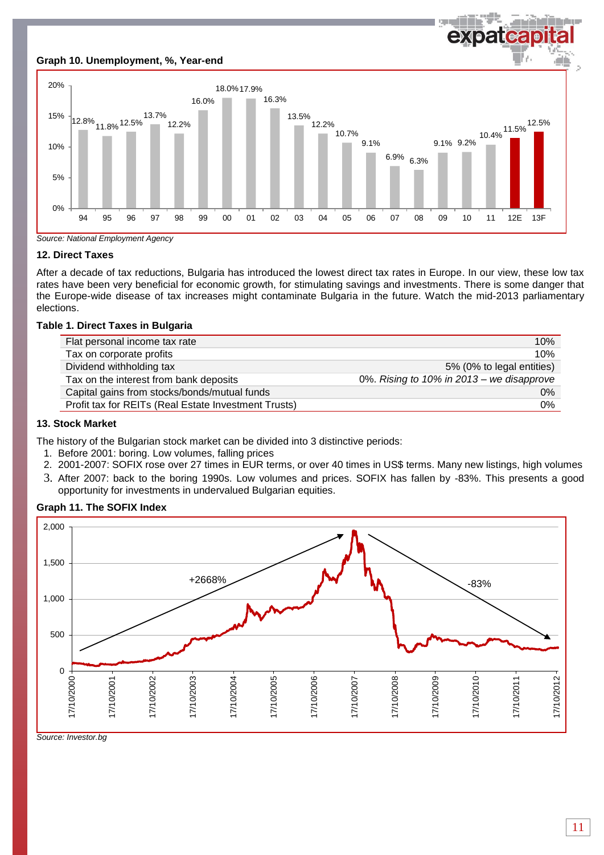# **Graph 10. Unemployment, %, Year-end**



expatcapi



# **12. Direct Taxes**

After a decade of tax reductions, Bulgaria has introduced the lowest direct tax rates in Europe. In our view, these low tax rates have been very beneficial for economic growth, for stimulating savings and investments. There is some danger that the Europe-wide disease of tax increases might contaminate Bulgaria in the future. Watch the mid-2013 parliamentary elections.

# **Table 1. Direct Taxes in Bulgaria**

| Flat personal income tax rate                        | 10%                                       |
|------------------------------------------------------|-------------------------------------------|
| Tax on corporate profits                             | 10%                                       |
| Dividend withholding tax                             | 5% (0% to legal entities)                 |
| Tax on the interest from bank deposits               | 0%. Rising to 10% in 2013 - we disapprove |
| Capital gains from stocks/bonds/mutual funds         | 0%                                        |
| Profit tax for REITs (Real Estate Investment Trusts) | 0%                                        |

# **13. Stock Market**

The history of the Bulgarian stock market can be divided into 3 distinctive periods:

- 1. Before 2001: boring. Low volumes, falling prices
- 2. 2001-2007: SOFIX rose over 27 times in EUR terms, or over 40 times in US\$ terms. Many new listings, high volumes
- 3. After 2007: back to the boring 1990s. Low volumes and prices. SOFIX has fallen by -83%. This presents a good opportunity for investments in undervalued Bulgarian equities.

# **Graph 11. The SOFIX Index**

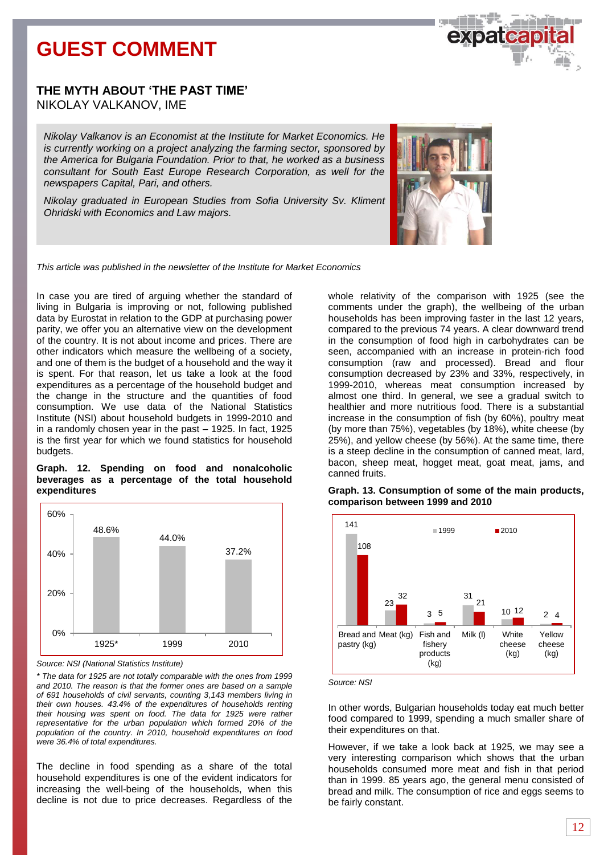# **GUEST COMMENT**



# **THE MYTH ABOUT 'THE PAST TIME'** NIKOLAY VALKANOV, IME

*Nikolay Valkanov is an Economist at the Institute for Market Economics. He is currently working on a project analyzing the farming sector, sponsored by the America for Bulgaria Foundation. Prior to that, he worked as a business consultant for South East Europe Research Corporation, as well for the newspapers Capital, Pari, and others.* 

*Nikolay graduated in European Studies from Sofia University Sv. Kliment Ohridski with Economics and Law majors.*



*This article was published in the newsletter of the Institute for Market Economics*

In case you are tired of arguing whether the standard of living in Bulgaria is improving or not, following published data by Eurostat in relation to the GDP at purchasing power parity, we offer you an alternative view on the development of the country. It is not about income and prices. There are other indicators which measure the wellbeing of a society, and one of them is the budget of a household and the way it is spent. For that reason, let us take a look at the food expenditures as a percentage of the household budget and the change in the structure and the quantities of food consumption. We use data of the National Statistics Institute (NSI) about household budgets in 1999-2010 and in a randomly chosen year in the past – 1925. In fact, 1925 is the first year for which we found statistics for household budgets.

#### **Graph. 12. Spending on food and nonalcoholic beverages as a percentage of the total household expenditures**



*Source: NSI (National Statistics Institute)*

*\* The data for 1925 are not totally comparable with the ones from 1999 and 2010. The reason is that the former ones are based on a sample of 691 households of civil servants, counting 3,143 members living in their own houses. 43.4% of the expenditures of households renting their housing was spent on food. The data for 1925 were rather representative for the urban population which formed 20% of the population of the country. In 2010, household expenditures on food were 36.4% of total expenditures.* 

The decline in food spending as a share of the total household expenditures is one of the evident indicators for increasing the well-being of the households, when this decline is not due to price decreases. Regardless of the whole relativity of the comparison with 1925 (see the comments under the graph), the wellbeing of the urban households has been improving faster in the last 12 years, compared to the previous 74 years. A clear downward trend in the consumption of food high in carbohydrates can be seen, accompanied with an increase in protein-rich food consumption (raw and processed). Bread and flour consumption decreased by 23% and 33%, respectively, in 1999-2010, whereas meat consumption increased by almost one third. In general, we see a gradual switch to healthier and more nutritious food. There is a substantial increase in the consumption of fish (by 60%), poultry meat (by more than 75%), vegetables (by 18%), white cheese (by 25%), and yellow cheese (by 56%). At the same time, there is a steep decline in the consumption of canned meat, lard, bacon, sheep meat, hogget meat, goat meat, jams, and canned fruits.



**Graph. 13. Consumption of some of the main products, comparison between 1999 and 2010**

*Source: NSI*

In other words, Bulgarian households today eat much better food compared to 1999, spending a much smaller share of their expenditures on that.

However, if we take a look back at 1925, we may see a very interesting comparison which shows that the urban households consumed more meat and fish in that period than in 1999. 85 years ago, the general menu consisted of bread and milk. The consumption of rice and eggs seems to be fairly constant.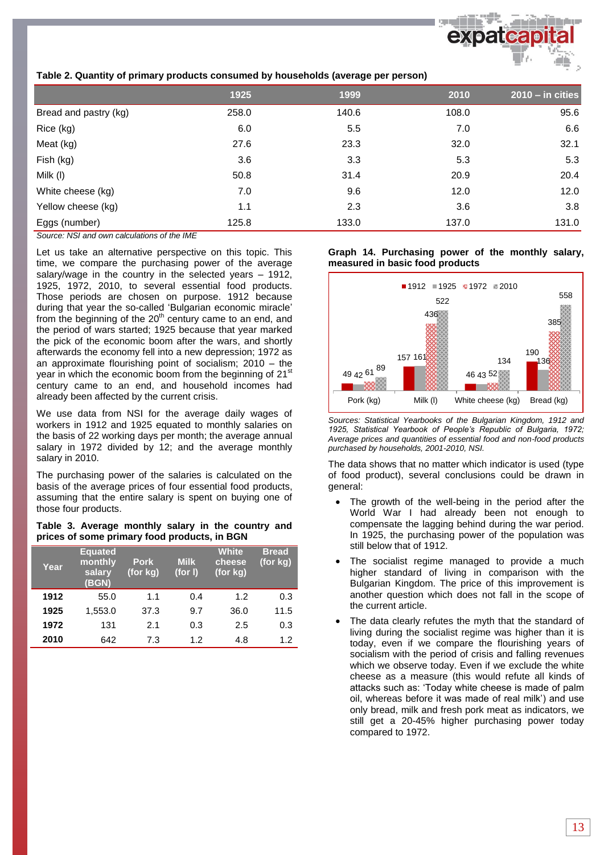# **Table 2. Quantity of primary products consumed by households (average per person)**

|                       | 1925  | 1999  | 2010  | $2010 - in cities$ |
|-----------------------|-------|-------|-------|--------------------|
| Bread and pastry (kg) | 258.0 | 140.6 | 108.0 | 95.6               |
| Rice (kg)             | 6.0   | 5.5   | 7.0   | 6.6                |
| Meat (kg)             | 27.6  | 23.3  | 32.0  | 32.1               |
| Fish (kg)             | 3.6   | 3.3   | 5.3   | 5.3                |
| Milk (I)              | 50.8  | 31.4  | 20.9  | 20.4               |
| White cheese (kg)     | 7.0   | 9.6   | 12.0  | 12.0               |
| Yellow cheese (kg)    | 1.1   | 2.3   | 3.6   | 3.8                |
| Eggs (number)         | 125.8 | 133.0 | 137.0 | 131.0              |

*Source: NSI and own calculations of the IME*

Let us take an alternative perspective on this topic. This time, we compare the purchasing power of the average salary/wage in the country in the selected years – 1912, 1925, 1972, 2010, to several essential food products. Those periods are chosen on purpose. 1912 because during that year the so-called 'Bulgarian economic miracle' from the beginning of the  $20<sup>th</sup>$  century came to an end, and the period of wars started; 1925 because that year marked the pick of the economic boom after the wars, and shortly afterwards the economy fell into a new depression; 1972 as an approximate flourishing point of socialism; 2010 – the year in which the economic boom from the beginning of 21st century came to an end, and household incomes had already been affected by the current crisis.

We use data from NSI for the average daily wages of workers in 1912 and 1925 equated to monthly salaries on the basis of 22 working days per month; the average annual salary in 1972 divided by 12; and the average monthly salary in 2010.

The purchasing power of the salaries is calculated on the basis of the average prices of four essential food products, assuming that the entire salary is spent on buying one of those four products.

|  | Table 3. Average monthly salary in the country and |  |  |  |
|--|----------------------------------------------------|--|--|--|
|  | prices of some primary food products, in BGN       |  |  |  |

| Year | <b>Equated</b><br>monthly<br>salary<br>(BGN) | <b>Pork</b><br>(for kg) | <b>Milk</b><br>(for I) | <b>White</b><br>cheese<br>(for kg) | <b>Bread</b><br>(for kg) |
|------|----------------------------------------------|-------------------------|------------------------|------------------------------------|--------------------------|
| 1912 | 55.0                                         | 1.1                     | 0.4                    | 1.2                                | 0.3                      |
| 1925 | 1,553.0                                      | 37.3                    | 9.7                    | 36.0                               | 11.5                     |
| 1972 | 131                                          | 2.1                     | 0.3                    | 2.5                                | 0.3                      |
| 2010 | 642                                          | 7.3                     | 1.2                    | 4.8                                | 1.2                      |

#### **Graph 14. Purchasing power of the monthly salary, measured in basic food products**



*Sources: Statistical Yearbooks of the Bulgarian Kingdom, 1912 and 1925, Statistical Yearbook of People's Republic of Bulgaria, 1972; Average prices and quantities of essential food and non-food products purchased by households, 2001-2010, NSI.* 

The data shows that no matter which indicator is used (type of food product), several conclusions could be drawn in general:

- The growth of the well-being in the period after the World War I had already been not enough to compensate the lagging behind during the war period. In 1925, the purchasing power of the population was still below that of 1912.
- The socialist regime managed to provide a much higher standard of living in comparison with the Bulgarian Kingdom. The price of this improvement is another question which does not fall in the scope of the current article.
- The data clearly refutes the myth that the standard of living during the socialist regime was higher than it is today, even if we compare the flourishing years of socialism with the period of crisis and falling revenues which we observe today. Even if we exclude the white cheese as a measure (this would refute all kinds of attacks such as: 'Today white cheese is made of palm oil, whereas before it was made of real milk') and use only bread, milk and fresh pork meat as indicators, we still get a 20-45% higher purchasing power today compared to 1972.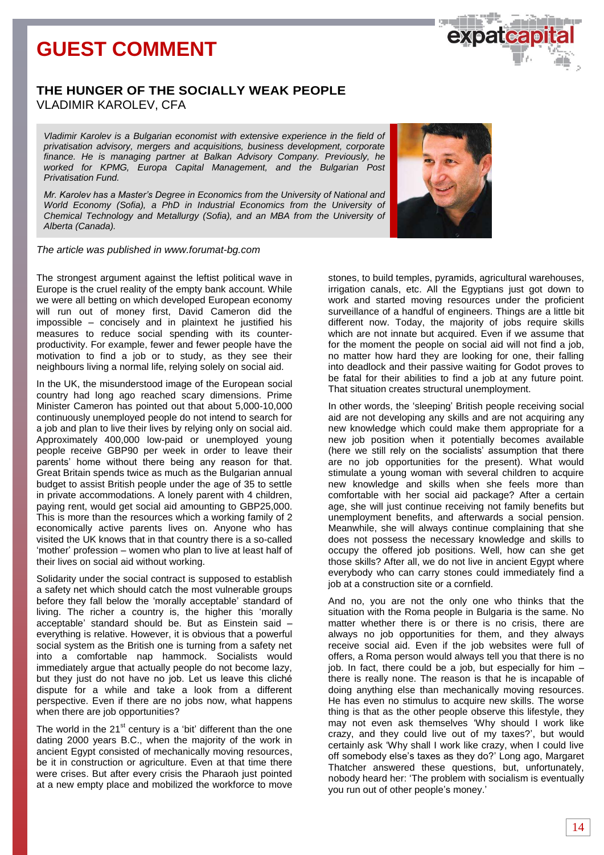# **GUEST COMMENT**

# **THE HUNGER OF THE SOCIALLY WEAK PEOPLE** VLADIMIR KAROLEV, CFA

*Vladimir Karolev is a Bulgarian economist with extensive experience in the field of privatisation advisory, mergers and acquisitions, business development, corporate finance. He is managing partner at Balkan Advisory Company. Previously, he worked for KPMG, Europa Capital Management, and the Bulgarian Post Privatisation Fund.* 

*Mr. Karolev has a Master's Degree in Economics from the University of National and World Economy (Sofia), a PhD in Industrial Economics from the University of Chemical Technology and Metallurgy (Sofia), and an MBA from the University of Alberta (Canada).*

*The article was published in www.forumat-bg.com*

The strongest argument against the leftist political wave in Europe is the cruel reality of the empty bank account. While we were all betting on which developed European economy will run out of money first, David Cameron did the impossible – concisely and in plaintext he justified his measures to reduce social spending with its counterproductivity. For example, fewer and fewer people have the motivation to find a job or to study, as they see their neighbours living a normal life, relying solely on social aid.

In the UK, the misunderstood image of the European social country had long ago reached scary dimensions. Prime Minister Cameron has pointed out that about 5,000-10,000 continuously unemployed people do not intend to search for a job and plan to live their lives by relying only on social aid. Approximately 400,000 low-paid or unemployed young people receive GBP90 per week in order to leave their parents' home without there being any reason for that. Great Britain spends twice as much as the Bulgarian annual budget to assist British people under the age of 35 to settle in private accommodations. A lonely parent with 4 children, paying rent, would get social aid amounting to GBP25,000. This is more than the resources which a working family of 2 economically active parents lives on. Anyone who has visited the UK knows that in that country there is a so-called 'mother' profession – women who plan to live at least half of their lives on social aid without working.

Solidarity under the social contract is supposed to establish a safety net which should catch the most vulnerable groups before they fall below the 'morally acceptable' standard of living. The richer a country is, the higher this 'morally acceptable' standard should be. But as Einstein said – everything is relative. However, it is obvious that a powerful social system as the British one is turning from a safety net into a comfortable nap hammock. Socialists would immediately argue that actually people do not become lazy, but they just do not have no job. Let us leave this cliché dispute for a while and take a look from a different perspective. Even if there are no jobs now, what happens when there are job opportunities?

The world in the  $21<sup>st</sup>$  century is a 'bit' different than the one dating 2000 years B.C., when the majority of the work in ancient Egypt consisted of mechanically moving resources, be it in construction or agriculture. Even at that time there were crises. But after every crisis the Pharaoh just pointed at a new empty place and mobilized the workforce to move

stones, to build temples, pyramids, agricultural warehouses, irrigation canals, etc. All the Egyptians just got down to work and started moving resources under the proficient surveillance of a handful of engineers. Things are a little bit different now. Today, the majority of jobs require skills which are not innate but acquired. Even if we assume that for the moment the people on social aid will not find a job, no matter how hard they are looking for one, their falling into deadlock and their passive waiting for Godot proves to be fatal for their abilities to find a job at any future point. That situation creates structural unemployment.

In other words, the 'sleeping' British people receiving social aid are not developing any skills and are not acquiring any new knowledge which could make them appropriate for a new job position when it potentially becomes available (here we still rely on the socialists' assumption that there are no job opportunities for the present). What would stimulate a young woman with several children to acquire new knowledge and skills when she feels more than comfortable with her social aid package? After a certain age, she will just continue receiving not family benefits but unemployment benefits, and afterwards a social pension. Meanwhile, she will always continue complaining that she does not possess the necessary knowledge and skills to occupy the offered job positions. Well, how can she get those skills? After all, we do not live in ancient Egypt where everybody who can carry stones could immediately find a job at a construction site or a cornfield.

And no, you are not the only one who thinks that the situation with the Roma people in Bulgaria is the same. No matter whether there is or there is no crisis, there are always no job opportunities for them, and they always receive social aid. Even if the job websites were full of offers, a Roma person would always tell you that there is no job. In fact, there could be a job, but especially for him – there is really none. The reason is that he is incapable of doing anything else than mechanically moving resources. He has even no stimulus to acquire new skills. The worse thing is that as the other people observe this lifestyle, they may not even ask themselves 'Why should I work like crazy, and they could live out of my taxes?', but would certainly ask 'Why shall I work like crazy, when I could live off somebody else's taxes as they do?' Long ago, Margaret Thatcher answered these questions, but, unfortunately, nobody heard her: 'The problem with socialism is eventually you run out of other people's money.'



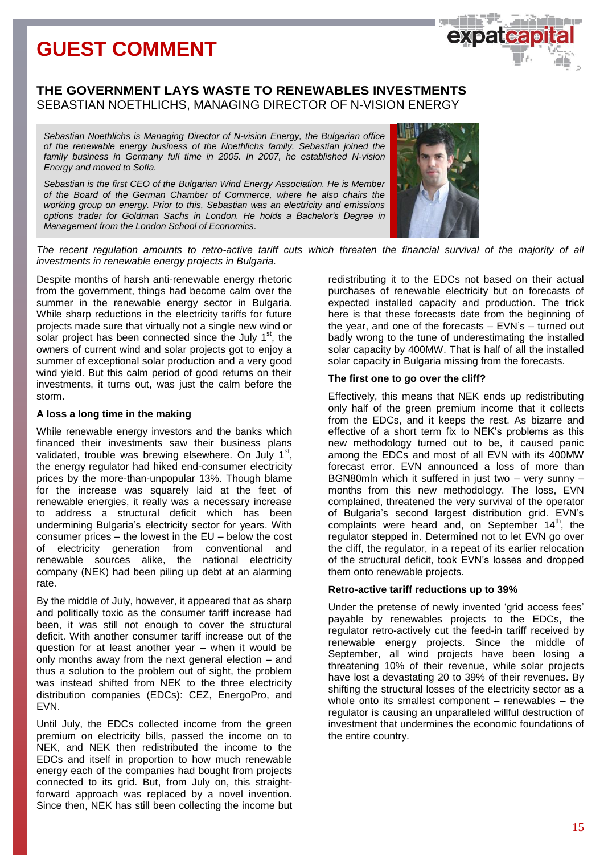# **GUEST COMMENT**

# **THE GOVERNMENT LAYS WASTE TO RENEWABLES INVESTMENTS** SEBASTIAN NOETHLICHS, MANAGING DIRECTOR OF N-VISION ENERGY

*Sebastian Noethlichs is Managing Director of N-vision Energy, the Bulgarian office of the renewable energy business of the Noethlichs family. Sebastian joined the family business in Germany full time in 2005. In 2007, he established N-vision Energy and moved to Sofia.*

*Sebastian is the first CEO of the Bulgarian Wind Energy Association. He is Member of the Board of the German Chamber of Commerce, where he also chairs the working group on energy. Prior to this, Sebastian was an electricity and emissions options trader for Goldman Sachs in London. He holds a Bachelor's Degree in Management from the London School of Economics.*



*The recent regulation amounts to retro-active tariff cuts which threaten the financial survival of the majority of all investments in renewable energy projects in Bulgaria.*

Despite months of harsh anti-renewable energy rhetoric from the government, things had become calm over the summer in the renewable energy sector in Bulgaria. While sharp reductions in the electricity tariffs for future projects made sure that virtually not a single new wind or solar project has been connected since the July  $1<sup>st</sup>$ , the owners of current wind and solar projects got to enjoy a summer of exceptional solar production and a very good wind yield. But this calm period of good returns on their investments, it turns out, was just the calm before the storm.

### **A loss a long time in the making**

While renewable energy investors and the banks which financed their investments saw their business plans validated, trouble was brewing elsewhere. On July  $1<sup>st</sup>$ , the energy regulator had hiked end-consumer electricity prices by the more-than-unpopular 13%. Though blame for the increase was squarely laid at the feet of renewable energies, it really was a necessary increase to address a structural deficit which has been undermining Bulgaria's electricity sector for years. With consumer prices – the lowest in the EU – below the cost of electricity generation from conventional and renewable sources alike, the national electricity company (NEK) had been piling up debt at an alarming rate.

By the middle of July, however, it appeared that as sharp and politically toxic as the consumer tariff increase had been, it was still not enough to cover the structural deficit. With another consumer tariff increase out of the question for at least another year – when it would be only months away from the next general election – and thus a solution to the problem out of sight, the problem was instead shifted from NEK to the three electricity distribution companies (EDCs): CEZ, EnergoPro, and EVN.

Until July, the EDCs collected income from the green premium on electricity bills, passed the income on to NEK, and NEK then redistributed the income to the EDCs and itself in proportion to how much renewable energy each of the companies had bought from projects connected to its grid. But, from July on, this straightforward approach was replaced by a novel invention. Since then, NEK has still been collecting the income but redistributing it to the EDCs not based on their actual purchases of renewable electricity but on forecasts of expected installed capacity and production. The trick here is that these forecasts date from the beginning of the year, and one of the forecasts – EVN's – turned out badly wrong to the tune of underestimating the installed solar capacity by 400MW. That is half of all the installed solar capacity in Bulgaria missing from the forecasts.

# **The first one to go over the cliff?**

Effectively, this means that NEK ends up redistributing only half of the green premium income that it collects from the EDCs, and it keeps the rest. As bizarre and effective of a short term fix to NEK's problems as this new methodology turned out to be, it caused panic among the EDCs and most of all EVN with its 400MW forecast error. EVN announced a loss of more than BGN80mln which it suffered in just two – very sunny – months from this new methodology. The loss, EVN complained, threatened the very survival of the operator of Bulgaria's second largest distribution grid. EVN's complaints were heard and, on September  $14<sup>th</sup>$ , the regulator stepped in. Determined not to let EVN go over the cliff, the regulator, in a repeat of its earlier relocation of the structural deficit, took EVN's losses and dropped them onto renewable projects.

# **Retro-active tariff reductions up to 39%**

Under the pretense of newly invented 'grid access fees' payable by renewables projects to the EDCs, the regulator retro-actively cut the feed-in tariff received by renewable energy projects. Since the middle of September, all wind projects have been losing a threatening 10% of their revenue, while solar projects have lost a devastating 20 to 39% of their revenues. By shifting the structural losses of the electricity sector as a whole onto its smallest component – renewables – the regulator is causing an unparalleled willful destruction of investment that undermines the economic foundations of the entire country.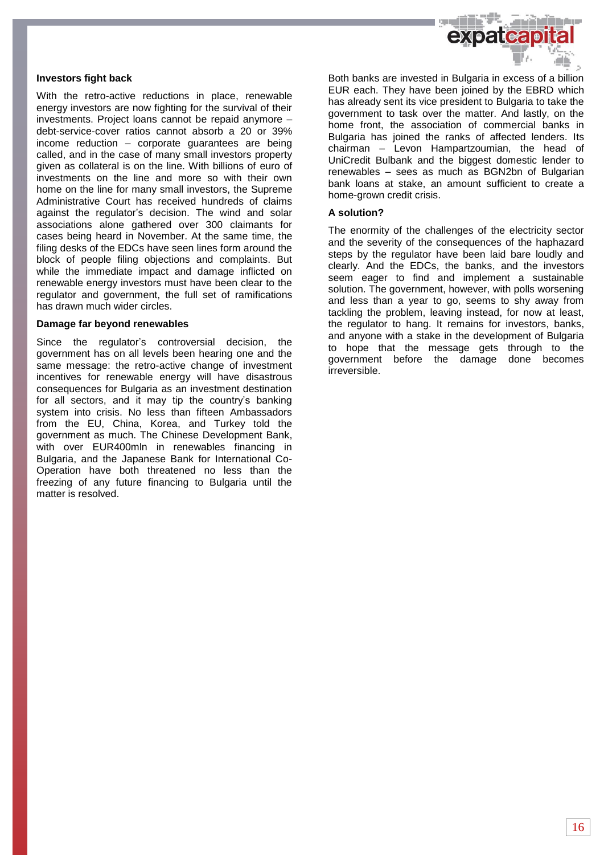

### **Investors fight back**

With the retro-active reductions in place, renewable energy investors are now fighting for the survival of their investments. Project loans cannot be repaid anymore – debt-service-cover ratios cannot absorb a 20 or 39% income reduction – corporate guarantees are being called, and in the case of many small investors property given as collateral is on the line. With billions of euro of investments on the line and more so with their own home on the line for many small investors, the Supreme Administrative Court has received hundreds of claims against the regulator's decision. The wind and solar associations alone gathered over 300 claimants for cases being heard in November. At the same time, the filing desks of the EDCs have seen lines form around the block of people filing objections and complaints. But while the immediate impact and damage inflicted on renewable energy investors must have been clear to the regulator and government, the full set of ramifications has drawn much wider circles.

#### **Damage far beyond renewables**

Since the regulator's controversial decision, the government has on all levels been hearing one and the same message: the retro-active change of investment incentives for renewable energy will have disastrous consequences for Bulgaria as an investment destination for all sectors, and it may tip the country's banking system into crisis. No less than fifteen Ambassadors from the EU, China, Korea, and Turkey told the government as much. The Chinese Development Bank, with over EUR400mln in renewables financing in Bulgaria, and the Japanese Bank for International Co-Operation have both threatened no less than the freezing of any future financing to Bulgaria until the matter is resolved.

Both banks are invested in Bulgaria in excess of a billion EUR each. They have been joined by the EBRD which has already sent its vice president to Bulgaria to take the government to task over the matter. And lastly, on the home front, the association of commercial banks in Bulgaria has joined the ranks of affected lenders. Its chairman – Levon Hampartzoumian, the head of UniCredit Bulbank and the biggest domestic lender to renewables – sees as much as BGN2bn of Bulgarian bank loans at stake, an amount sufficient to create a home-grown credit crisis.

### **A solution?**

The enormity of the challenges of the electricity sector and the severity of the consequences of the haphazard steps by the regulator have been laid bare loudly and clearly. And the EDCs, the banks, and the investors seem eager to find and implement a sustainable solution. The government, however, with polls worsening and less than a year to go, seems to shy away from tackling the problem, leaving instead, for now at least, the regulator to hang. It remains for investors, banks, and anyone with a stake in the development of Bulgaria to hope that the message gets through to the government before the damage done becomes irreversible.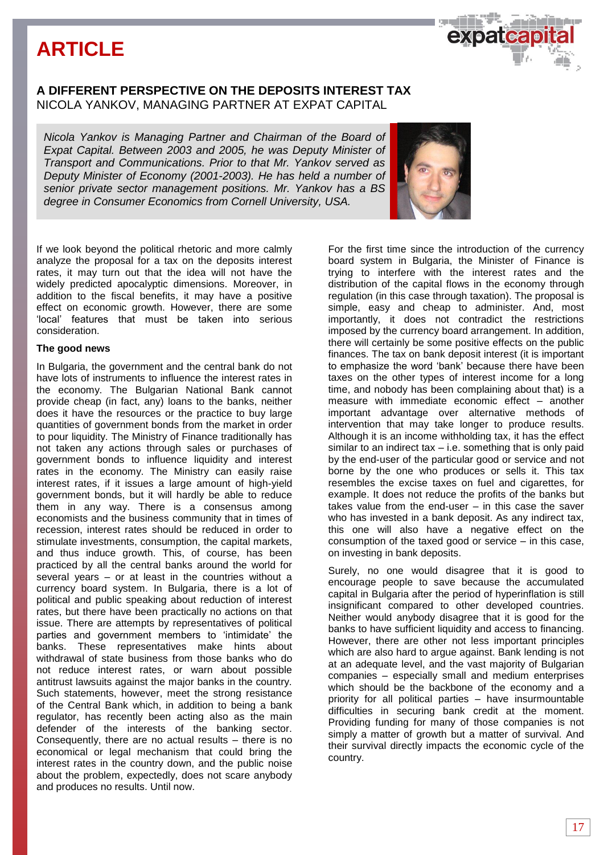# **ARTICLE**

# **A DIFFERENT PERSPECTIVE ON THE DEPOSITS INTEREST TAX**  NICOLA YANKOV, MANAGING PARTNER AT EXPAT CAPITAL

*Nicola Yankov is Managing Partner and Chairman of the Board of Expat Capital. Between 2003 and 2005, he was Deputy Minister of Transport and Communications. Prior to that Mr. Yankov served as Deputy Minister of Economy (2001-2003). He has held a number of senior private sector management positions. Mr. Yankov has a BS degree in Consumer Economics from Cornell University, USA.* 

If we look beyond the political rhetoric and more calmly analyze the proposal for a tax on the deposits interest rates, it may turn out that the idea will not have the widely predicted apocalyptic dimensions. Moreover, in addition to the fiscal benefits, it may have a positive effect on economic growth. However, there are some 'local' features that must be taken into serious consideration.

### **The good news**

In Bulgaria, the government and the central bank do not have lots of instruments to influence the interest rates in the economy. The Bulgarian National Bank cannot provide cheap (in fact, any) loans to the banks, neither does it have the resources or the practice to buy large quantities of government bonds from the market in order to pour liquidity. The Ministry of Finance traditionally has not taken any actions through sales or purchases of government bonds to influence liquidity and interest rates in the economy. The Ministry can easily raise interest rates, if it issues a large amount of high-yield government bonds, but it will hardly be able to reduce them in any way. There is a consensus among economists and the business community that in times of recession, interest rates should be reduced in order to stimulate investments, consumption, the capital markets, and thus induce growth. This, of course, has been practiced by all the central banks around the world for several years – or at least in the countries without a currency board system. In Bulgaria, there is a lot of political and public speaking about reduction of interest rates, but there have been practically no actions on that issue. There are attempts by representatives of political parties and government members to 'intimidate' the banks. These representatives make hints about withdrawal of state business from those banks who do not reduce interest rates, or warn about possible antitrust lawsuits against the major banks in the country. Such statements, however, meet the strong resistance of the Central Bank which, in addition to being a bank regulator, has recently been acting also as the main defender of the interests of the banking sector. Consequently, there are no actual results – there is no economical or legal mechanism that could bring the interest rates in the country down, and the public noise about the problem, expectedly, does not scare anybody and produces no results. Until now.

For the first time since the introduction of the currency board system in Bulgaria, the Minister of Finance is trying to interfere with the interest rates and the distribution of the capital flows in the economy through regulation (in this case through taxation). The proposal is simple, easy and cheap to administer. And, most importantly, it does not contradict the restrictions imposed by the currency board arrangement. In addition, there will certainly be some positive effects on the public finances. The tax on bank deposit interest (it is important to emphasize the word 'bank' because there have been taxes on the other types of interest income for a long time, and nobody has been complaining about that) is a measure with immediate economic effect – another important advantage over alternative methods of intervention that may take longer to produce results. Although it is an income withholding tax, it has the effect similar to an indirect tax  $-$  i.e. something that is only paid by the end-user of the particular good or service and not borne by the one who produces or sells it. This tax resembles the excise taxes on fuel and cigarettes, for example. It does not reduce the profits of the banks but takes value from the end-user – in this case the saver who has invested in a bank deposit. As any indirect tax, this one will also have a negative effect on the consumption of the taxed good or service – in this case, on investing in bank deposits.

Surely, no one would disagree that it is good to encourage people to save because the accumulated capital in Bulgaria after the period of hyperinflation is still insignificant compared to other developed countries. Neither would anybody disagree that it is good for the banks to have sufficient liquidity and access to financing. However, there are other not less important principles which are also hard to argue against. Bank lending is not at an adequate level, and the vast majority of Bulgarian companies – especially small and medium enterprises which should be the backbone of the economy and a priority for all political parties – have insurmountable difficulties in securing bank credit at the moment. Providing funding for many of those companies is not simply a matter of growth but a matter of survival. And their survival directly impacts the economic cycle of the country.



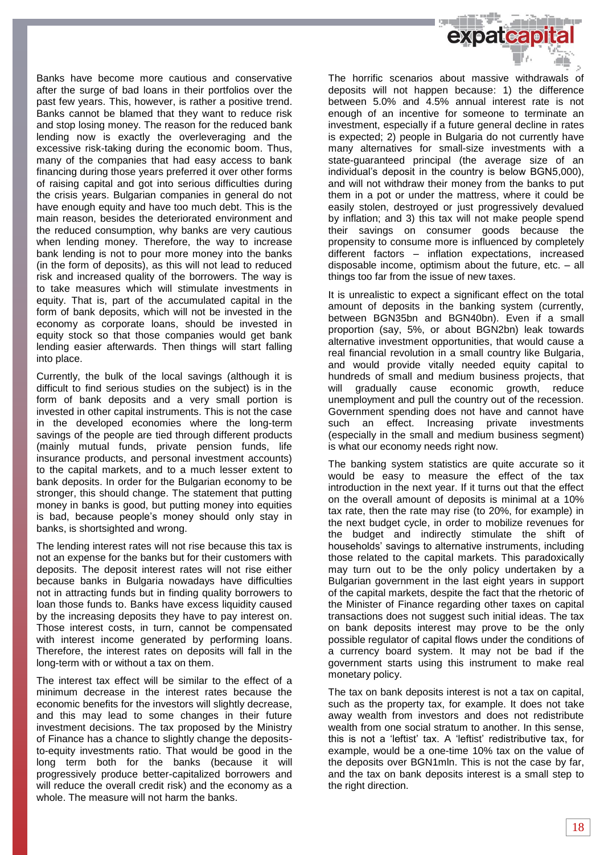

Banks have become more cautious and conservative after the surge of bad loans in their portfolios over the past few years. This, however, is rather a positive trend. Banks cannot be blamed that they want to reduce risk and stop losing money. The reason for the reduced bank lending now is exactly the overleveraging and the excessive risk-taking during the economic boom. Thus, many of the companies that had easy access to bank financing during those years preferred it over other forms of raising capital and got into serious difficulties during the crisis years. Bulgarian companies in general do not have enough equity and have too much debt. This is the main reason, besides the deteriorated environment and the reduced consumption, why banks are very cautious when lending money. Therefore, the way to increase bank lending is not to pour more money into the banks (in the form of deposits), as this will not lead to reduced risk and increased quality of the borrowers. The way is to take measures which will stimulate investments in equity. That is, part of the accumulated capital in the form of bank deposits, which will not be invested in the economy as corporate loans, should be invested in equity stock so that those companies would get bank lending easier afterwards. Then things will start falling into place.

Currently, the bulk of the local savings (although it is difficult to find serious studies on the subject) is in the form of bank deposits and a very small portion is invested in other capital instruments. This is not the case in the developed economies where the long-term savings of the people are tied through different products (mainly mutual funds, private pension funds, life insurance products, and personal investment accounts) to the capital markets, and to a much lesser extent to bank deposits. In order for the Bulgarian economy to be stronger, this should change. The statement that putting money in banks is good, but putting money into equities is bad, because people's money should only stay in banks, is shortsighted and wrong.

The lending interest rates will not rise because this tax is not an expense for the banks but for their customers with deposits. The deposit interest rates will not rise either because banks in Bulgaria nowadays have difficulties not in attracting funds but in finding quality borrowers to loan those funds to. Banks have excess liquidity caused by the increasing deposits they have to pay interest on. Those interest costs, in turn, cannot be compensated with interest income generated by performing loans. Therefore, the interest rates on deposits will fall in the long-term with or without a tax on them.

The interest tax effect will be similar to the effect of a minimum decrease in the interest rates because the economic benefits for the investors will slightly decrease, and this may lead to some changes in their future investment decisions. The tax proposed by the Ministry of Finance has a chance to slightly change the depositsto-equity investments ratio. That would be good in the long term both for the banks (because it will progressively produce better-capitalized borrowers and will reduce the overall credit risk) and the economy as a whole. The measure will not harm the banks.

The horrific scenarios about massive withdrawals of deposits will not happen because: 1) the difference between 5.0% and 4.5% annual interest rate is not enough of an incentive for someone to terminate an investment, especially if a future general decline in rates is expected; 2) people in Bulgaria do not currently have many alternatives for small-size investments with a state-guaranteed principal (the average size of an individual's deposit in the country is below BGN5,000), and will not withdraw their money from the banks to put them in a pot or under the mattress, where it could be easily stolen, destroyed or just progressively devalued by inflation; and 3) this tax will not make people spend their savings on consumer goods because the propensity to consume more is influenced by completely different factors – inflation expectations, increased disposable income, optimism about the future, etc. – all things too far from the issue of new taxes.

It is unrealistic to expect a significant effect on the total amount of deposits in the banking system (currently, between BGN35bn and BGN40bn). Even if a small proportion (say, 5%, or about BGN2bn) leak towards alternative investment opportunities, that would cause a real financial revolution in a small country like Bulgaria, and would provide vitally needed equity capital to hundreds of small and medium business projects, that will gradually cause economic growth, reduce unemployment and pull the country out of the recession. Government spending does not have and cannot have such an effect. Increasing private investments (especially in the small and medium business segment) is what our economy needs right now.

The banking system statistics are quite accurate so it would be easy to measure the effect of the tax introduction in the next year. If it turns out that the effect on the overall amount of deposits is minimal at a 10% tax rate, then the rate may rise (to 20%, for example) in the next budget cycle, in order to mobilize revenues for the budget and indirectly stimulate the shift of households' savings to alternative instruments, including those related to the capital markets. This paradoxically may turn out to be the only policy undertaken by a Bulgarian government in the last eight years in support of the capital markets, despite the fact that the rhetoric of the Minister of Finance regarding other taxes on capital transactions does not suggest such initial ideas. The tax on bank deposits interest may prove to be the only possible regulator of capital flows under the conditions of a currency board system. It may not be bad if the government starts using this instrument to make real monetary policy.

The tax on bank deposits interest is not a tax on capital, such as the property tax, for example. It does not take away wealth from investors and does not redistribute wealth from one social stratum to another. In this sense, this is not a 'leftist' tax. A 'leftist' redistributive tax, for example, would be a one-time 10% tax on the value of the deposits over BGN1mln. This is not the case by far, and the tax on bank deposits interest is a small step to the right direction.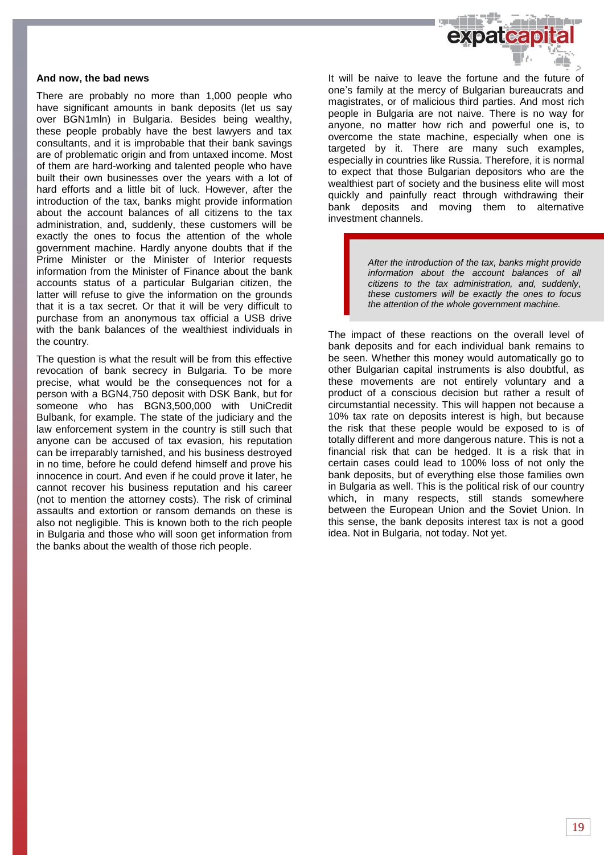

#### **And now, the bad news**

There are probably no more than 1,000 people who have significant amounts in bank deposits (let us say over BGN1mln) in Bulgaria. Besides being wealthy, these people probably have the best lawyers and tax consultants, and it is improbable that their bank savings are of problematic origin and from untaxed income. Most of them are hard-working and talented people who have built their own businesses over the years with a lot of hard efforts and a little bit of luck. However, after the introduction of the tax, banks might provide information about the account balances of all citizens to the tax administration, and, suddenly, these customers will be exactly the ones to focus the attention of the whole government machine. Hardly anyone doubts that if the Prime Minister or the Minister of Interior requests information from the Minister of Finance about the bank accounts status of a particular Bulgarian citizen, the latter will refuse to give the information on the grounds that it is a tax secret. Or that it will be very difficult to purchase from an anonymous tax official a USB drive with the bank balances of the wealthiest individuals in the country.

The question is what the result will be from this effective revocation of bank secrecy in Bulgaria. To be more precise, what would be the consequences not for a person with a BGN4,750 deposit with DSK Bank, but for someone who has BGN3,500,000 with UniCredit Bulbank, for example. The state of the judiciary and the law enforcement system in the country is still such that anyone can be accused of tax evasion, his reputation can be irreparably tarnished, and his business destroyed in no time, before he could defend himself and prove his innocence in court. And even if he could prove it later, he cannot recover his business reputation and his career (not to mention the attorney costs). The risk of criminal assaults and extortion or ransom demands on these is also not negligible. This is known both to the rich people in Bulgaria and those who will soon get information from the banks about the wealth of those rich people.

It will be naive to leave the fortune and the future of one's family at the mercy of Bulgarian bureaucrats and magistrates, or of malicious third parties. And most rich people in Bulgaria are not naive. There is no way for anyone, no matter how rich and powerful one is, to overcome the state machine, especially when one is targeted by it. There are many such examples, especially in countries like Russia. Therefore, it is normal to expect that those Bulgarian depositors who are the wealthiest part of society and the business elite will most quickly and painfully react through withdrawing their bank deposits and moving them to alternative investment channels.

> *After the introduction of the tax, banks might provide information about the account balances of all citizens to the tax administration, and, suddenly, these customers will be exactly the ones to focus the attention of the whole government machine.*

The impact of these reactions on the overall level of bank deposits and for each individual bank remains to be seen. Whether this money would automatically go to other Bulgarian capital instruments is also doubtful, as these movements are not entirely voluntary and a product of a conscious decision but rather a result of circumstantial necessity. This will happen not because a 10% tax rate on deposits interest is high, but because the risk that these people would be exposed to is of totally different and more dangerous nature. This is not a financial risk that can be hedged. It is a risk that in certain cases could lead to 100% loss of not only the bank deposits, but of everything else those families own in Bulgaria as well. This is the political risk of our country which, in many respects, still stands somewhere between the European Union and the Soviet Union. In this sense, the bank deposits interest tax is not a good idea. Not in Bulgaria, not today. Not yet.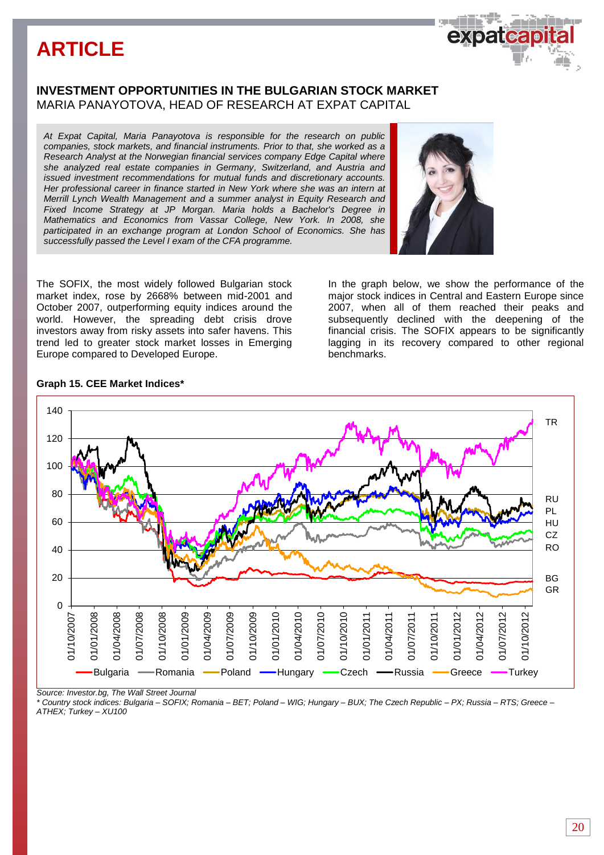# **ARTICLE**

# **INVESTMENT OPPORTUNITIES IN THE BULGARIAN STOCK MARKET** MARIA PANAYOTOVA, HEAD OF RESEARCH AT EXPAT CAPITAL

*At Expat Capital, Maria Panayotova is responsible for the research on public companies, stock markets, and financial instruments. Prior to that, she worked as a Research Analyst at the Norwegian financial services company Edge Capital where she analyzed real estate companies in Germany, Switzerland, and Austria and issued investment recommendations for mutual funds and discretionary accounts. Her professional career in finance started in New York where she was an intern at Merrill Lynch Wealth Management and a summer analyst in Equity Research and Fixed Income Strategy at JP Morgan. Maria holds a Bachelor's Degree in Mathematics and Economics from Vassar College, New York. In 2008, she participated in an exchange program at London School of Economics. She has successfully passed the Level I exam of the CFA programme.* 

The SOFIX, the most widely followed Bulgarian stock market index, rose by 2668% between mid-2001 and October 2007, outperforming equity indices around the world. However, the spreading debt crisis drove investors away from risky assets into safer havens. This trend led to greater stock market losses in Emerging Europe compared to Developed Europe.

In the graph below, we show the performance of the major stock indices in Central and Eastern Europe since 2007, when all of them reached their peaks and subsequently declined with the deepening of the financial crisis. The SOFIX appears to be significantly lagging in its recovery compared to other regional benchmarks.

# **Graph 15. CEE Market Indices\***



*Source: Investor.bg, The Wall Street Journal*

*\* Country stock indices: Bulgaria – SOFIX; Romania – BET; Poland – WIG; Hungary – BUX; The Czech Republic – PX; Russia – RTS; Greece – ATHEX; Turkey – XU100*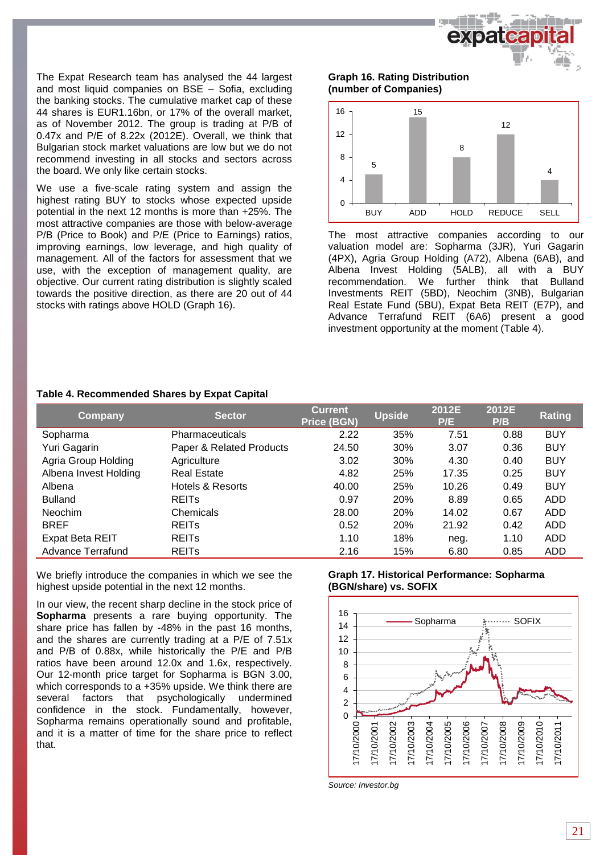

The Expat Research team has analysed the 44 largest and most liquid companies on BSE – Sofia, excluding the banking stocks. The cumulative market cap of these 44 shares is EUR1.16bn, or 17% of the overall market, as of November 2012. The group is trading at P/B of 0.47x and P/E of 8.22x (2012E). Overall, we think that Bulgarian stock market valuations are low but we do not recommend investing in all stocks and sectors across the board. We only like certain stocks.

We use a five-scale rating system and assign the highest rating BUY to stocks whose expected upside potential in the next 12 months is more than +25%. The most attractive companies are those with below-average P/B (Price to Book) and P/E (Price to Earnings) ratios, improving earnings, low leverage, and high quality of management. All of the factors for assessment that we use, with the exception of management quality, are objective. Our current rating distribution is slightly scaled towards the positive direction, as there are 20 out of 44 stocks with ratings above HOLD (Graph 16).

### **Graph 16. Rating Distribution (number of Companies)**



The most attractive companies according to our valuation model are: Sopharma (3JR), Yuri Gagarin (4PX), Agria Group Holding (A72), Albena (6AB), and Albena Invest Holding (5ALB), all with a BUY recommendation. We further think that Bulland Investments REIT (5BD), Neochim (3NB), Bulgarian Real Estate Fund (5BU), Expat Beta REIT (E7P), and Advance Terrafund REIT (6A6) present a good investment opportunity at the moment (Table 4).

# **Table 4. Recommended Shares by Expat Capital**

| <b>Company</b>           | <b>Sector</b>            | <b>Current</b><br><b>Price (BGN)</b> | <b>Upside</b> | 2012E<br>P/E | 2012E<br>P/B | <b>Rating</b> |
|--------------------------|--------------------------|--------------------------------------|---------------|--------------|--------------|---------------|
| Sopharma                 | <b>Pharmaceuticals</b>   | 2.22                                 | 35%           | 7.51         | 0.88         | <b>BUY</b>    |
| Yuri Gagarin             | Paper & Related Products | 24.50                                | 30%           | 3.07         | 0.36         | <b>BUY</b>    |
| Agria Group Holding      | Agriculture              | 3.02                                 | 30%           | 4.30         | 0.40         | <b>BUY</b>    |
| Albena Invest Holding    | <b>Real Estate</b>       | 4.82                                 | 25%           | 17.35        | 0.25         | <b>BUY</b>    |
| Albena                   | Hotels & Resorts         | 40.00                                | 25%           | 10.26        | 0.49         | <b>BUY</b>    |
| <b>Bulland</b>           | <b>REITS</b>             | 0.97                                 | 20%           | 8.89         | 0.65         | ADD           |
| <b>Neochim</b>           | Chemicals                | 28.00                                | 20%           | 14.02        | 0.67         | <b>ADD</b>    |
| <b>BREF</b>              | <b>REITS</b>             | 0.52                                 | 20%           | 21.92        | 0.42         | <b>ADD</b>    |
| Expat Beta REIT          | <b>REITS</b>             | 1.10                                 | 18%           | neg.         | 1.10         | <b>ADD</b>    |
| <b>Advance Terrafund</b> | <b>REITS</b>             | 2.16                                 | 15%           | 6.80         | 0.85         | <b>ADD</b>    |

We briefly introduce the companies in which we see the highest upside potential in the next 12 months.

In our view, the recent sharp decline in the stock price of **Sopharma** presents a rare buying opportunity. The share price has fallen by -48% in the past 16 months, and the shares are currently trading at a P/E of 7.51x and P/B of 0.88x, while historically the P/E and P/B ratios have been around 12.0x and 1.6x, respectively. Our 12-month price target for Sopharma is BGN 3.00, which corresponds to a  $+35%$  upside. We think there are several factors that psychologically undermined confidence in the stock. Fundamentally, however, Sopharma remains operationally sound and profitable, and it is a matter of time for the share price to reflect that.

# **Graph 17. Historical Performance: Sopharma (BGN/share) vs. SOFIX**



*Source: Investor.bg*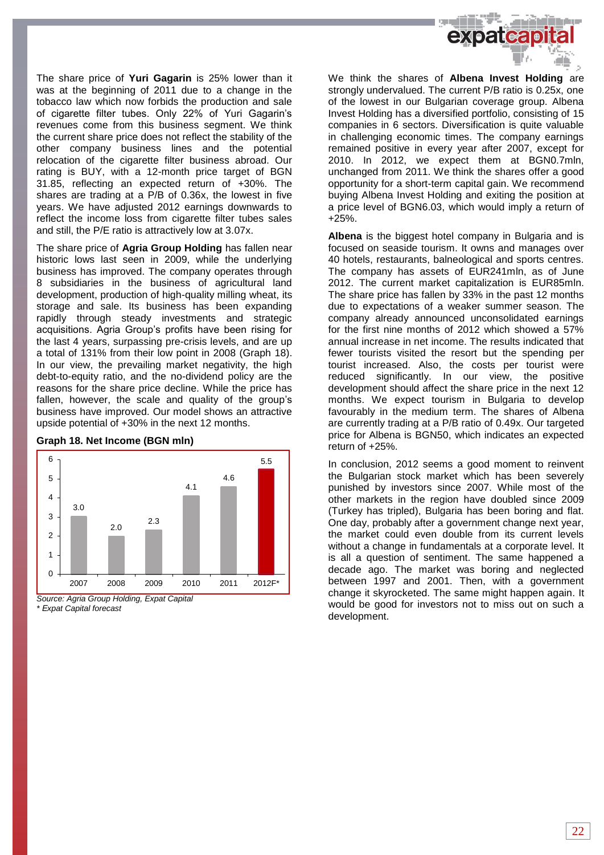

The share price of **Yuri Gagarin** is 25% lower than it was at the beginning of 2011 due to a change in the tobacco law which now forbids the production and sale of cigarette filter tubes. Only 22% of Yuri Gagarin's revenues come from this business segment. We think the current share price does not reflect the stability of the other company business lines and the potential relocation of the cigarette filter business abroad. Our rating is BUY, with a 12-month price target of BGN 31.85, reflecting an expected return of +30%. The shares are trading at a P/B of 0.36x, the lowest in five years. We have adjusted 2012 earnings downwards to reflect the income loss from cigarette filter tubes sales and still, the P/E ratio is attractively low at 3.07x.

The share price of **Agria Group Holding** has fallen near historic lows last seen in 2009, while the underlying business has improved. The company operates through 8 subsidiaries in the business of agricultural land development, production of high-quality milling wheat, its storage and sale. Its business has been expanding rapidly through steady investments and strategic acquisitions. Agria Group's profits have been rising for the last 4 years, surpassing pre-crisis levels, and are up a total of 131% from their low point in 2008 (Graph 18). In our view, the prevailing market negativity, the high debt-to-equity ratio, and the no-dividend policy are the reasons for the share price decline. While the price has fallen, however, the scale and quality of the group's business have improved. Our model shows an attractive upside potential of +30% in the next 12 months.

### **Graph 18. Net Income (BGN mln)**



*Source: Agria Group Holding, Expat Capital \* Еxpat Capital forecast*

We think the shares of **Albena Invest Holding** are strongly undervalued. The current P/B ratio is 0.25x, one of the lowest in our Bulgarian coverage group. Albena Invest Holding has a diversified portfolio, consisting of 15 companies in 6 sectors. Diversification is quite valuable in challenging economic times. The company earnings remained positive in every year after 2007, except for 2010. In 2012, we expect them at BGN0.7mln, unchanged from 2011. We think the shares offer a good opportunity for a short-term capital gain. We recommend buying Albena Invest Holding and exiting the position at a price level of BGN6.03, which would imply a return of +25%.

**Albena** is the biggest hotel company in Bulgaria and is focused on seaside tourism. It owns and manages over 40 hotels, restaurants, balneological and sports centres. The company has assets of EUR241mln, as of June 2012. The current market capitalization is EUR85mln. The share price has fallen by 33% in the past 12 months due to expectations of a weaker summer season. The company already announced unconsolidated earnings for the first nine months of 2012 which showed a 57% annual increase in net income. The results indicated that fewer tourists visited the resort but the spending per tourist increased. Also, the costs per tourist were reduced significantly. In our view, the positive development should affect the share price in the next 12 months. We expect tourism in Bulgaria to develop favourably in the medium term. The shares of Albena are currently trading at a P/B ratio of 0.49x. Our targeted price for Albena is BGN50, which indicates an expected return of +25%.

In conclusion, 2012 seems a good moment to reinvent the Bulgarian stock market which has been severely punished by investors since 2007. While most of the other markets in the region have doubled since 2009 (Turkey has tripled), Bulgaria has been boring and flat. One day, probably after a government change next year, the market could even double from its current levels without a change in fundamentals at a corporate level. It is all a question of sentiment. The same happened a decade ago. The market was boring and neglected between 1997 and 2001. Then, with a government change it skyrocketed. The same might happen again. It would be good for investors not to miss out on such a development.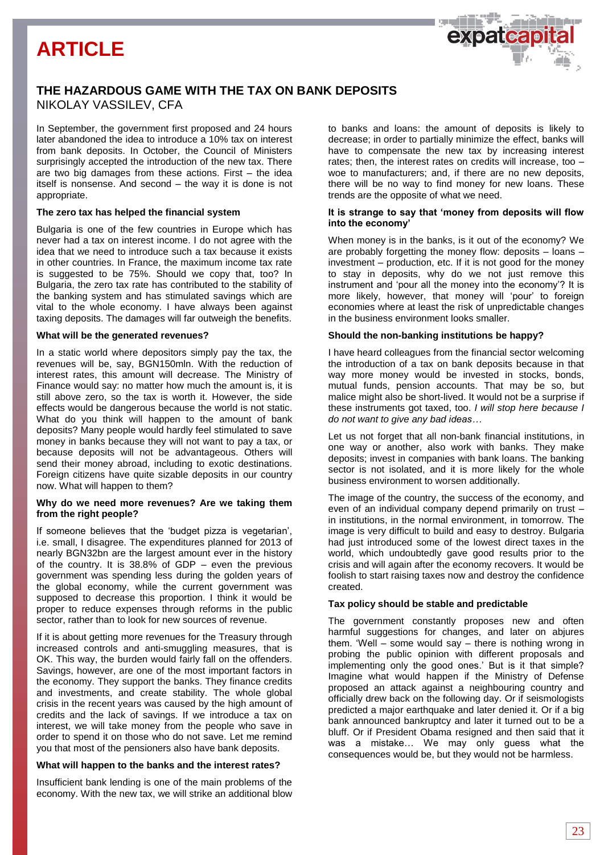# **ARTICLE**



In September, the government first proposed and 24 hours later abandoned the idea to introduce a 10% tax on interest from bank deposits. In October, the Council of Ministers surprisingly accepted the introduction of the new tax. There are two big damages from these actions. First – the idea itself is nonsense. And second – the way it is done is not appropriate.

#### **The zero tax has helped the financial system**

Bulgaria is one of the few countries in Europe which has never had a tax on interest income. I do not agree with the idea that we need to introduce such a tax because it exists in other countries. In France, the maximum income tax rate is suggested to be 75%. Should we copy that, too? In Bulgaria, the zero tax rate has contributed to the stability of the banking system and has stimulated savings which are vital to the whole economy. I have always been against taxing deposits. The damages will far outweigh the benefits.

#### **What will be the generated revenues?**

In a static world where depositors simply pay the tax, the revenues will be, say, BGN150mln. With the reduction of interest rates, this amount will decrease. The Ministry of Finance would say: no matter how much the amount is, it is still above zero, so the tax is worth it. However, the side effects would be dangerous because the world is not static. What do you think will happen to the amount of bank deposits? Many people would hardly feel stimulated to save money in banks because they will not want to pay a tax, or because deposits will not be advantageous. Others will send their money abroad, including to exotic destinations. Foreign citizens have quite sizable deposits in our country now. What will happen to them?

#### **Why do we need more revenues? Are we taking them from the right people?**

If someone believes that the 'budget pizza is vegetarian', i.e. small, I disagree. The expenditures planned for 2013 of nearly BGN32bn are the largest amount ever in the history of the country. It is 38.8% of GDP – even the previous government was spending less during the golden years of the global economy, while the current government was supposed to decrease this proportion. I think it would be proper to reduce expenses through reforms in the public sector, rather than to look for new sources of revenue.

If it is about getting more revenues for the Treasury through increased controls and anti-smuggling measures, that is OK. This way, the burden would fairly fall on the offenders. Savings, however, are one of the most important factors in the economy. They support the banks. They finance credits and investments, and create stability. The whole global crisis in the recent years was caused by the high amount of credits and the lack of savings. If we introduce a tax on interest, we will take money from the people who save in order to spend it on those who do not save. Let me remind you that most of the pensioners also have bank deposits.

#### **What will happen to the banks and the interest rates?**

Insufficient bank lending is one of the main problems of the economy. With the new tax, we will strike an additional blow

to banks and loans: the amount of deposits is likely to decrease; in order to partially minimize the effect, banks will have to compensate the new tax by increasing interest rates; then, the interest rates on credits will increase, too – woe to manufacturers; and, if there are no new deposits, there will be no way to find money for new loans. These trends are the opposite of what we need.

#### **It is strange to say that 'money from deposits will flow into the economy'**

When money is in the banks, is it out of the economy? We are probably forgetting the money flow: deposits – loans – investment – production, etc. If it is not good for the money to stay in deposits, why do we not just remove this instrument and 'pour all the money into the economy'? It is more likely, however, that money will 'pour' to foreign economies where at least the risk of unpredictable changes in the business environment looks smaller.

#### **Should the non-banking institutions be happy?**

I have heard colleagues from the financial sector welcoming the introduction of a tax on bank deposits because in that way more money would be invested in stocks, bonds, mutual funds, pension accounts. That may be so, but malice might also be short-lived. It would not be a surprise if these instruments got taxed, too. *I will stop here because I do not want to give any bad ideas…*

Let us not forget that all non-bank financial institutions, in one way or another, also work with banks. They make deposits; invest in companies with bank loans. The banking sector is not isolated, and it is more likely for the whole business environment to worsen additionally.

The image of the country, the success of the economy, and even of an individual company depend primarily on trust – in institutions, in the normal environment, in tomorrow. The image is very difficult to build and easy to destroy. Bulgaria had just introduced some of the lowest direct taxes in the world, which undoubtedly gave good results prior to the crisis and will again after the economy recovers. It would be foolish to start raising taxes now and destroy the confidence created.

#### **Tax policy should be stable and predictable**

The government constantly proposes new and often harmful suggestions for changes, and later on abjures them. 'Well – some would say – there is nothing wrong in probing the public opinion with different proposals and implementing only the good ones.' But is it that simple? Imagine what would happen if the Ministry of Defense proposed an attack against a neighbouring country and officially drew back on the following day. Or if seismologists predicted a major earthquake and later denied it. Or if a big bank announced bankruptcy and later it turned out to be a bluff. Or if President Obama resigned and then said that it was a mistake… We may only guess what the consequences would be, but they would not be harmless.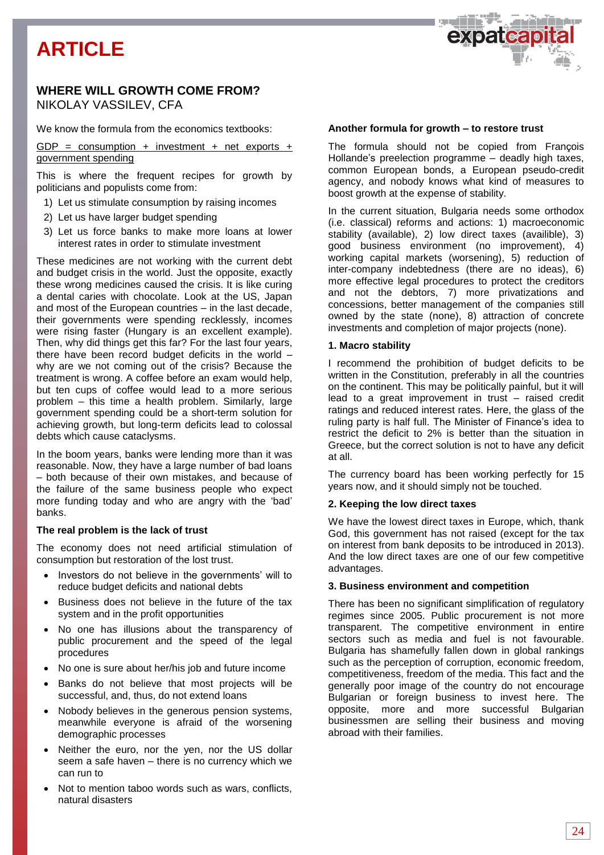# **ARTICLE**

# **WHERE WILL GROWTH COME FROM?** NIKOLAY VASSILEV, CFA

We know the formula from the economics textbooks:

GDP = consumption + investment + net exports + government spending

This is where the frequent recipes for growth by politicians and populists come from:

- 1) Let us stimulate consumption by raising incomes
- 2) Let us have larger budget spending
- 3) Let us force banks to make more loans at lower interest rates in order to stimulate investment

These medicines are not working with the current debt and budget crisis in the world. Just the opposite, exactly these wrong medicines caused the crisis. It is like curing a dental caries with chocolate. Look at the US, Japan and most of the European countries – in the last decade, their governments were spending recklessly, incomes were rising faster (Hungary is an excellent example). Then, why did things get this far? For the last four years, there have been record budget deficits in the world – why are we not coming out of the crisis? Because the treatment is wrong. A coffee before an exam would help, but ten cups of coffee would lead to a more serious problem – this time a health problem. Similarly, large government spending could be a short-term solution for achieving growth, but long-term deficits lead to colossal debts which cause cataclysms.

In the boom years, banks were lending more than it was reasonable. Now, they have a large number of bad loans – both because of their own mistakes, and because of the failure of the same business people who expect more funding today and who are angry with the 'bad' banks.

### **The real problem is the lack of trust**

The economy does not need artificial stimulation of consumption but restoration of the lost trust.

- Investors do not believe in the governments' will to reduce budget deficits and national debts
- Business does not believe in the future of the tax system and in the profit opportunities
- No one has illusions about the transparency of public procurement and the speed of the legal procedures
- No one is sure about her/his job and future income
- Banks do not believe that most projects will be successful, and, thus, do not extend loans
- Nobody believes in the generous pension systems, meanwhile everyone is afraid of the worsening demographic processes
- Neither the euro, nor the yen, nor the US dollar seem a safe haven – there is no currency which we can run to
- Not to mention taboo words such as wars, conflicts, natural disasters

# **Another formula for growth – to restore trust**

The formula should not be copied from François Hollande's preelection programme – deadly high taxes, common European bonds, a European pseudo-credit agency, and nobody knows what kind of measures to boost growth at the expense of stability.

expateap

In the current situation, Bulgaria needs some orthodox (i.e. classical) reforms and actions: 1) macroeconomic stability (available), 2) low direct taxes (availible), 3) good business environment (no improvement), 4) working capital markets (worsening), 5) reduction of inter-company indebtedness (there are no ideas), 6) more effective legal procedures to protect the creditors and not the debtors, 7) more privatizations and concessions, better management of the companies still owned by the state (none), 8) attraction of concrete investments and completion of major projects (none).

# **1. Macro stability**

I recommend the prohibition of budget deficits to be written in the Constitution, preferably in all the countries on the continent. This may be politically painful, but it will lead to a great improvement in trust – raised credit ratings and reduced interest rates. Here, the glass of the ruling party is half full. The Minister of Finance's idea to restrict the deficit to 2% is better than the situation in Greece, but the correct solution is not to have any deficit at all.

The currency board has been working perfectly for 15 years now, and it should simply not be touched.

#### **2. Keeping the low direct taxes**

We have the lowest direct taxes in Europe, which, thank God, this government has not raised (except for the tax on interest from bank deposits to be introduced in 2013). And the low direct taxes are one of our few competitive advantages.

#### **3. Business environment and competition**

There has been no significant simplification of regulatory regimes since 2005. Public procurement is not more transparent. The competitive environment in entire sectors such as media and fuel is not favourable. Bulgaria has shamefully fallen down in global rankings such as the perception of corruption, economic freedom, competitiveness, freedom of the media. This fact and the generally poor image of the country do not encourage Bulgarian or foreign business to invest here. The opposite, more and more successful Bulgarian businessmen are selling their business and moving abroad with their families.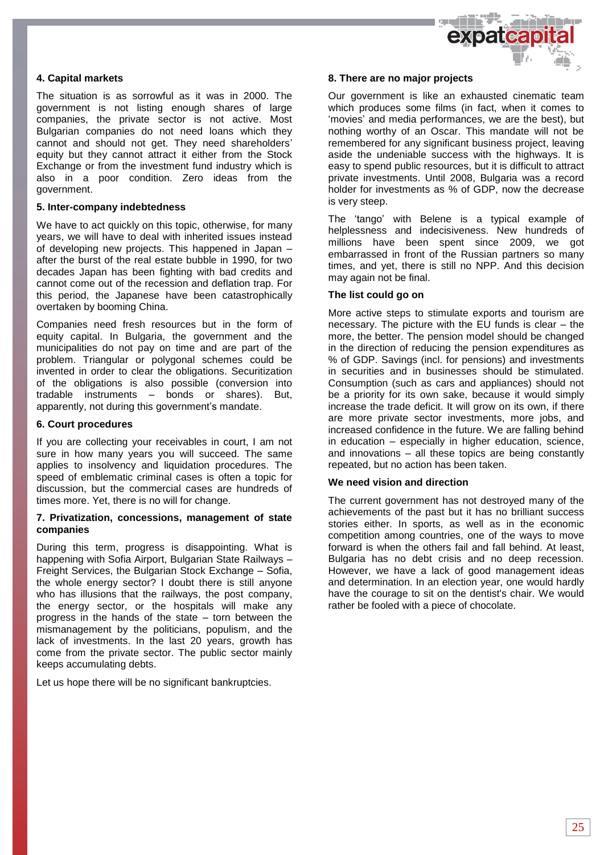

# **4. Capital markets**

The situation is as sorrowful as it was in 2000. The government is not listing enough shares of large companies, the private sector is not active. Most Bulgarian companies do not need loans which they cannot and should not get. They need shareholders' equity but they cannot attract it either from the Stock Exchange or from the investment fund industry which is also in a poor condition. Zero ideas from the government.

#### **5. Inter-company indebtedness**

We have to act quickly on this topic, otherwise, for many years, we will have to deal with inherited issues instead of developing new projects. This happened in Japan – after the burst of the real estate bubble in 1990, for two decades Japan has been fighting with bad credits and cannot come out of the recession and deflation trap. For this period, the Japanese have been catastrophically overtaken by booming China.

Companies need fresh resources but in the form of equity capital. In Bulgaria, the government and the municipalities do not pay on time and are part of the problem. Triangular or polygonal schemes could be invented in order to clear the obligations. Securitization of the obligations is also possible (conversion into tradable instruments – bonds or shares). But, apparently, not during this government's mandate.

#### **6. Court procedures**

If you are collecting your receivables in court, I am not sure in how many years you will succeed. The same applies to insolvency and liquidation procedures. The speed of emblematic criminal cases is often a topic for discussion, but the commercial cases are hundreds of times more. Yet, there is no will for change.

#### **7. Privatization, concessions, management of state companies**

During this term, progress is disappointing. What is happening with Sofia Airport, Bulgarian State Railways – Freight Services, the Bulgarian Stock Exchange – Sofia, the whole energy sector? I doubt there is still anyone who has illusions that the railways, the post company, the energy sector, or the hospitals will make any progress in the hands of the state – torn between the mismanagement by the politicians, populism, and the lack of investments. In the last 20 years, growth has come from the private sector. The public sector mainly keeps accumulating debts.

Let us hope there will be no significant bankruptcies.

#### **8. There are no major projects**

Our government is like an exhausted cinematic team which produces some films (in fact, when it comes to 'movies' and media performances, we are the best), but nothing worthy of an Oscar. This mandate will not be remembered for any significant business project, leaving aside the undeniable success with the highways. It is easy to spend public resources, but it is difficult to attract private investments. Until 2008, Bulgaria was a record holder for investments as % of GDP, now the decrease is very steep.

The 'tango' with Belene is a typical example of helplessness and indecisiveness. New hundreds of millions have been spent since 2009, we got embarrassed in front of the Russian partners so many times, and yet, there is still no NPP. And this decision may again not be final.

### **The list could go on**

More active steps to stimulate exports and tourism are necessary. The picture with the EU funds is clear – the more, the better. The pension model should be changed in the direction of reducing the pension expenditures as % of GDP. Savings (incl. for pensions) and investments in securities and in businesses should be stimulated. Consumption (such as cars and appliances) should not be a priority for its own sake, because it would simply increase the trade deficit. It will grow on its own, if there are more private sector investments, more jobs, and increased confidence in the future. We are falling behind in education – especially in higher education, science, and innovations – all these topics are being constantly repeated, but no action has been taken.

### **We need vision and direction**

The current government has not destroyed many of the achievements of the past but it has no brilliant success stories either. In sports, as well as in the economic competition among countries, one of the ways to move forward is when the others fail and fall behind. At least, Bulgaria has no debt crisis and no deep recession. However, we have a lack of good management ideas and determination. In an election year, one would hardly have the courage to sit on the dentist's chair. We would rather be fooled with a piece of chocolate.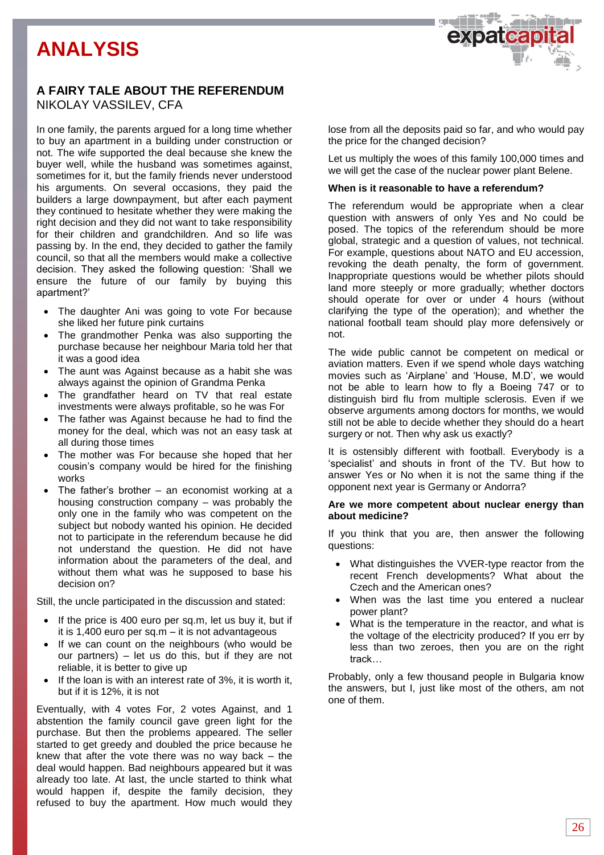# **ANALYSIS**



# **A FAIRY TALE ABOUT THE REFERENDUM** NIKOLAY VASSILEV, CFA

In one family, the parents argued for a long time whether to buy an apartment in a building under construction or not. The wife supported the deal because she knew the buyer well, while the husband was sometimes against, sometimes for it, but the family friends never understood his arguments. On several occasions, they paid the builders a large downpayment, but after each payment they continued to hesitate whether they were making the right decision and they did not want to take responsibility for their children and grandchildren. And so life was passing by. In the end, they decided to gather the family council, so that all the members would make a collective decision. They asked the following question: 'Shall we ensure the future of our family by buying this apartment?'

- The daughter Ani was going to vote For because she liked her future pink curtains
- The grandmother Penka was also supporting the purchase because her neighbour Maria told her that it was a good idea
- The aunt was Against because as a habit she was always against the opinion of Grandma Penka
- The grandfather heard on TV that real estate investments were always profitable, so he was For
- The father was Against because he had to find the money for the deal, which was not an easy task at all during those times
- The mother was For because she hoped that her cousin's company would be hired for the finishing works
- The father's brother an economist working at a housing construction company – was probably the only one in the family who was competent on the subject but nobody wanted his opinion. He decided not to participate in the referendum because he did not understand the question. He did not have information about the parameters of the deal, and without them what was he supposed to base his decision on?

Still, the uncle participated in the discussion and stated:

- If the price is 400 euro per sq.m, let us buy it, but if it is 1,400 euro per sq.m – it is not advantageous
- If we can count on the neighbours (who would be our partners) – let us do this, but if they are not reliable, it is better to give up
- If the loan is with an interest rate of 3%, it is worth it, but if it is 12%, it is not

Eventually, with 4 votes For, 2 votes Against, and 1 abstention the family council gave green light for the purchase. But then the problems appeared. The seller started to get greedy and doubled the price because he knew that after the vote there was no way back – the deal would happen. Bad neighbours appeared but it was already too late. At last, the uncle started to think what would happen if, despite the family decision, they refused to buy the apartment. How much would they

lose from all the deposits paid so far, and who would pay the price for the changed decision?

Let us multiply the woes of this family 100,000 times and we will get the case of the nuclear power plant Belene.

### **When is it reasonable to have a referendum?**

The referendum would be appropriate when a clear question with answers of only Yes and No could be posed. The topics of the referendum should be more global, strategic and a question of values, not technical. For example, questions about NATO and EU accession, revoking the death penalty, the form of government. Inappropriate questions would be whether pilots should land more steeply or more gradually; whether doctors should operate for over or under 4 hours (without clarifying the type of the operation); and whether the national football team should play more defensively or not.

The wide public cannot be competent on medical or aviation matters. Even if we spend whole days watching movies such as 'Airplane' and 'House, M.D', we would not be able to learn how to fly a Boeing 747 or to distinguish bird flu from multiple sclerosis. Even if we observe arguments among doctors for months, we would still not be able to decide whether they should do a heart surgery or not. Then why ask us exactly?

It is ostensibly different with football. Everybody is a 'specialist' and shouts in front of the TV. But how to answer Yes or No when it is not the same thing if the opponent next year is Germany or Andorra?

# **Are we more competent about nuclear energy than about medicine?**

If you think that you are, then answer the following questions:

- What distinguishes the VVER-type reactor from the recent French developments? What about the Czech and the American ones?
- When was the last time you entered a nuclear power plant?
- What is the temperature in the reactor, and what is the voltage of the electricity produced? If you err by less than two zeroes, then you are on the right track…

Probably, only a few thousand people in Bulgaria know the answers, but I, just like most of the others, am not one of them.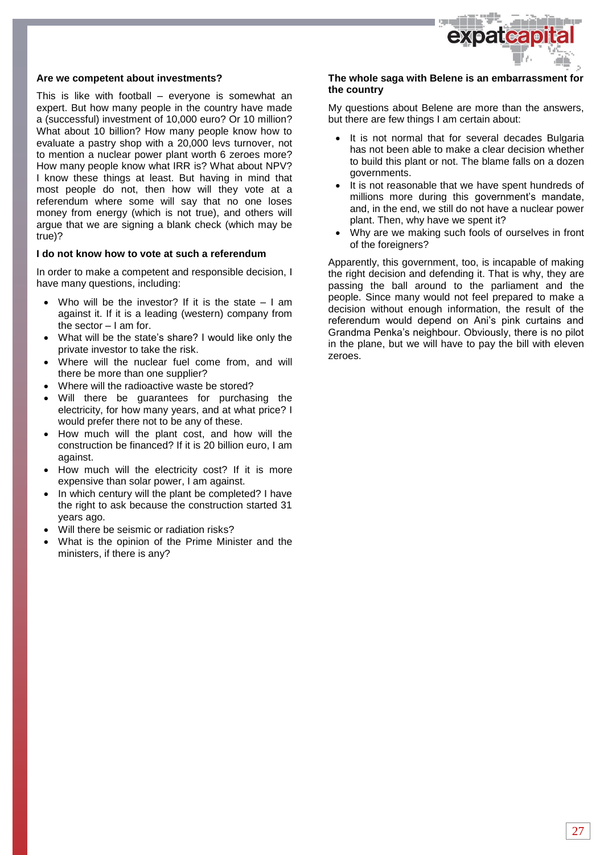

#### **Are we competent about investments?**

This is like with football – everyone is somewhat an expert. But how many people in the country have made a (successful) investment of 10,000 euro? Or 10 million? What about 10 billion? How many people know how to evaluate a pastry shop with a 20,000 levs turnover, not to mention a nuclear power plant worth 6 zeroes more? How many people know what IRR is? What about NPV? I know these things at least. But having in mind that most people do not, then how will they vote at a referendum where some will say that no one loses money from energy (which is not true), and others will argue that we are signing a blank check (which may be true)?

#### **I do not know how to vote at such a referendum**

In order to make a competent and responsible decision, I have many questions, including:

- Who will be the investor? If it is the state I am against it. If it is a leading (western) company from the sector  $-1$  am for.
- What will be the state's share? I would like only the private investor to take the risk.
- Where will the nuclear fuel come from, and will there be more than one supplier?
- Where will the radioactive waste be stored?
- Will there be guarantees for purchasing the electricity, for how many years, and at what price? I would prefer there not to be any of these.
- How much will the plant cost, and how will the construction be financed? If it is 20 billion euro, I am against.
- How much will the electricity cost? If it is more expensive than solar power, I am against.
- In which century will the plant be completed? I have the right to ask because the construction started 31 years ago.
- Will there be seismic or radiation risks?
- What is the opinion of the Prime Minister and the ministers, if there is any?

### **The whole saga with Belene is an embarrassment for the country**

My questions about Belene are more than the answers, but there are few things I am certain about:

- It is not normal that for several decades Bulgaria has not been able to make a clear decision whether to build this plant or not. The blame falls on a dozen governments.
- It is not reasonable that we have spent hundreds of millions more during this government's mandate, and, in the end, we still do not have a nuclear power plant. Then, why have we spent it?
- Why are we making such fools of ourselves in front of the foreigners?

Apparently, this government, too, is incapable of making the right decision and defending it. That is why, they are passing the ball around to the parliament and the people. Since many would not feel prepared to make a decision without enough information, the result of the referendum would depend on Ani's pink curtains and Grandma Penka's neighbour. Obviously, there is no pilot in the plane, but we will have to pay the bill with eleven zeroes.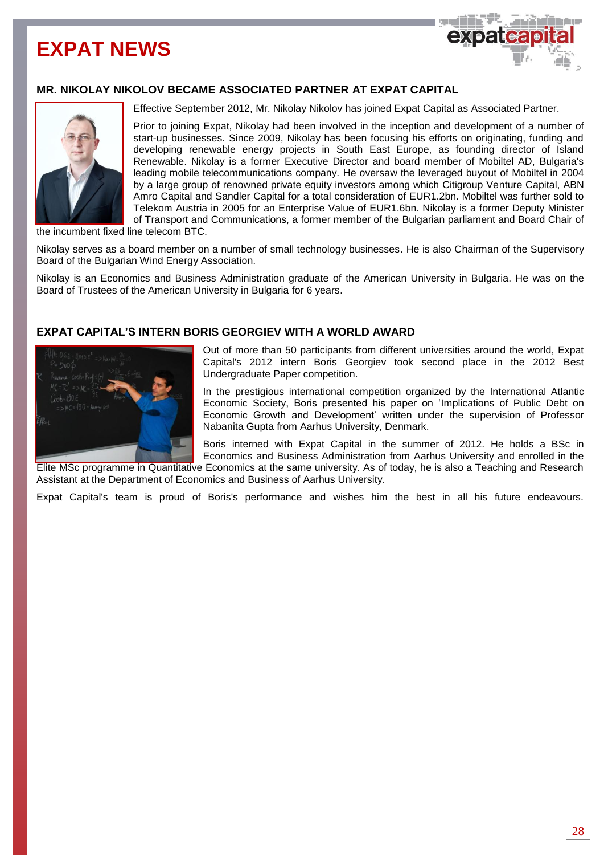# **EXPAT NEWS**



# **MR. NIKOLAY NIKOLOV BECAME ASSOCIATED PARTNER AT EXPAT CAPITAL**



Effective September 2012, Mr. Nikolay Nikolov has joined Expat Capital as Associated Partner.

Prior to joining Expat, Nikolay had been involved in the inception and development of a number of start-up businesses. Since 2009, Nikolay has been focusing his efforts on originating, funding and developing renewable energy projects in South East Europe, as founding director of Island Renewable. Nikolay is a former Executive Director and board member of Mobiltel AD, Bulgaria's leading mobile telecommunications company. He oversaw the leveraged buyout of Mobiltel in 2004 by a large group of renowned private equity investors among which Citigroup Venture Capital, ABN Amro Capital and Sandler Capital for a total consideration of EUR1.2bn. Mobiltel was further sold to Telekom Austria in 2005 for an Enterprise Value of EUR1.6bn. Nikolay is a former Deputy Minister of Transport and Communications, a former member of the Bulgarian parliament and Board Chair of

the incumbent fixed line telecom BTC.

Nikolay serves as a board member on a number of small technology businesses. He is also Chairman of the Supervisory Board of the Bulgarian Wind Energy Association.

Nikolay is an Economics and Business Administration graduate of the American University in Bulgaria. He was on the Board of Trustees of the American University in Bulgaria for 6 years.

# **EXPAT CAPITAL'S INTERN BORIS GEORGIEV WITH A WORLD AWARD**



Out of more than 50 participants from different universities around the world, Expat Capital's 2012 intern Boris Georgiev took second place in the 2012 Best Undergraduate Paper competition.

In the prestigious international competition organized by the International Atlantic Economic Society, Boris presented his paper on 'Implications of Public Debt on Economic Growth and Development' written under the supervision of Professor Nabanita Gupta from Aarhus University, Denmark.

Boris interned with Expat Capital in the summer of 2012. He holds a BSc in Economics and Business Administration from Aarhus University and enrolled in the

Elite MSc programme in Quantitative Economics at the same university. As of today, he is also a Teaching and Research Assistant at the Department of Economics and Business of Aarhus University.

Expat Capital's team is proud of Boris's performance and wishes him the best in all his future endeavours.